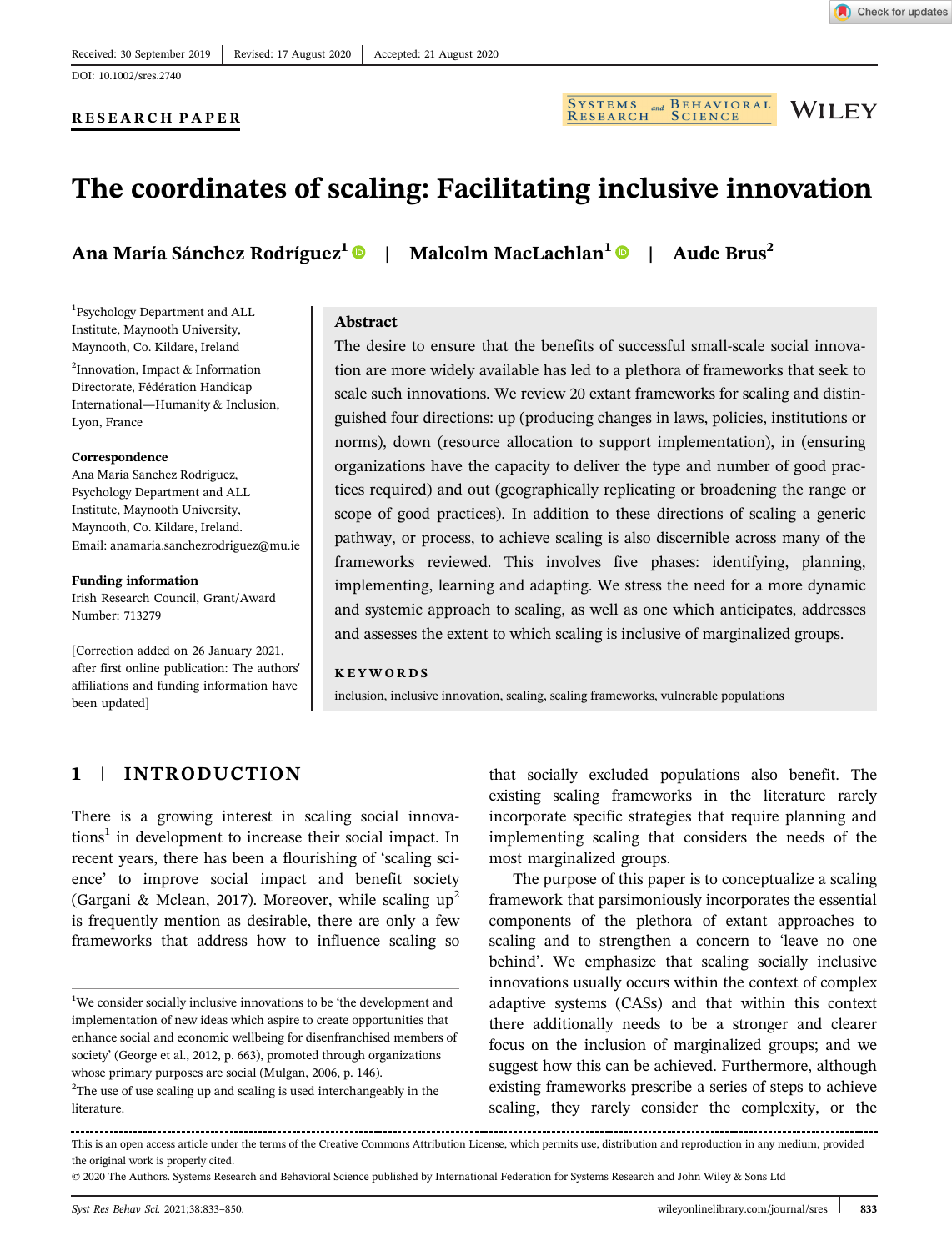#### RESEARCH PAPER



# The coordinates of scaling: Facilitating inclusive innovation

Ana María Sánchez Rodríguez<sup>1</sup> | Malcolm MacLachlan<sup>1</sup> | Aude Brus<sup>2</sup>

1 Psychology Department and ALL Institute, Maynooth University, Maynooth, Co. Kildare, Ireland

2 Innovation, Impact & Information Directorate, Fédération Handicap International—Humanity & Inclusion, Lyon, France

#### Correspondence

Ana Maria Sanchez Rodriguez, Psychology Department and ALL Institute, Maynooth University, Maynooth, Co. Kildare, Ireland. Email: anamaria.sanchezrodriguez@mu.ie

#### Funding information

Irish Research Council, Grant/Award Number: 713279

[Correction added on 26 January 2021, after first online publication: The authors' affiliations and funding information have been updated]

#### Abstract

The desire to ensure that the benefits of successful small-scale social innovation are more widely available has led to a plethora of frameworks that seek to scale such innovations. We review 20 extant frameworks for scaling and distinguished four directions: up (producing changes in laws, policies, institutions or norms), down (resource allocation to support implementation), in (ensuring organizations have the capacity to deliver the type and number of good practices required) and out (geographically replicating or broadening the range or scope of good practices). In addition to these directions of scaling a generic pathway, or process, to achieve scaling is also discernible across many of the frameworks reviewed. This involves five phases: identifying, planning, implementing, learning and adapting. We stress the need for a more dynamic and systemic approach to scaling, as well as one which anticipates, addresses and assesses the extent to which scaling is inclusive of marginalized groups.

#### KEYWORDS

inclusion, inclusive innovation, scaling, scaling frameworks, vulnerable populations

## 1 | INTRODUCTION

There is a growing interest in scaling social innova $tions<sup>1</sup>$  in development to increase their social impact. In recent years, there has been a flourishing of 'scaling science' to improve social impact and benefit society (Gargani & Mclean, 2017). Moreover, while scaling  $up^2$ is frequently mention as desirable, there are only a few frameworks that address how to influence scaling so

that socially excluded populations also benefit. The existing scaling frameworks in the literature rarely incorporate specific strategies that require planning and implementing scaling that considers the needs of the most marginalized groups.

The purpose of this paper is to conceptualize a scaling framework that parsimoniously incorporates the essential components of the plethora of extant approaches to scaling and to strengthen a concern to 'leave no one behind'. We emphasize that scaling socially inclusive innovations usually occurs within the context of complex adaptive systems (CASs) and that within this context there additionally needs to be a stronger and clearer focus on the inclusion of marginalized groups; and we suggest how this can be achieved. Furthermore, although existing frameworks prescribe a series of steps to achieve scaling, they rarely consider the complexity, or the

<sup>&</sup>lt;sup>1</sup>We consider socially inclusive innovations to be 'the development and implementation of new ideas which aspire to create opportunities that enhance social and economic wellbeing for disenfranchised members of society' (George et al., 2012, p. 663), promoted through organizations whose primary purposes are social (Mulgan, 2006, p. 146).

 $2$ The use of use scaling up and scaling is used interchangeably in the literature.

This is an open access article under the terms of the Creative Commons Attribution License, which permits use, distribution and reproduction in any medium, provided the original work is properly cited.

<sup>© 2020</sup> The Authors. Systems Research and Behavioral Science published by International Federation for Systems Research and John Wiley & Sons Ltd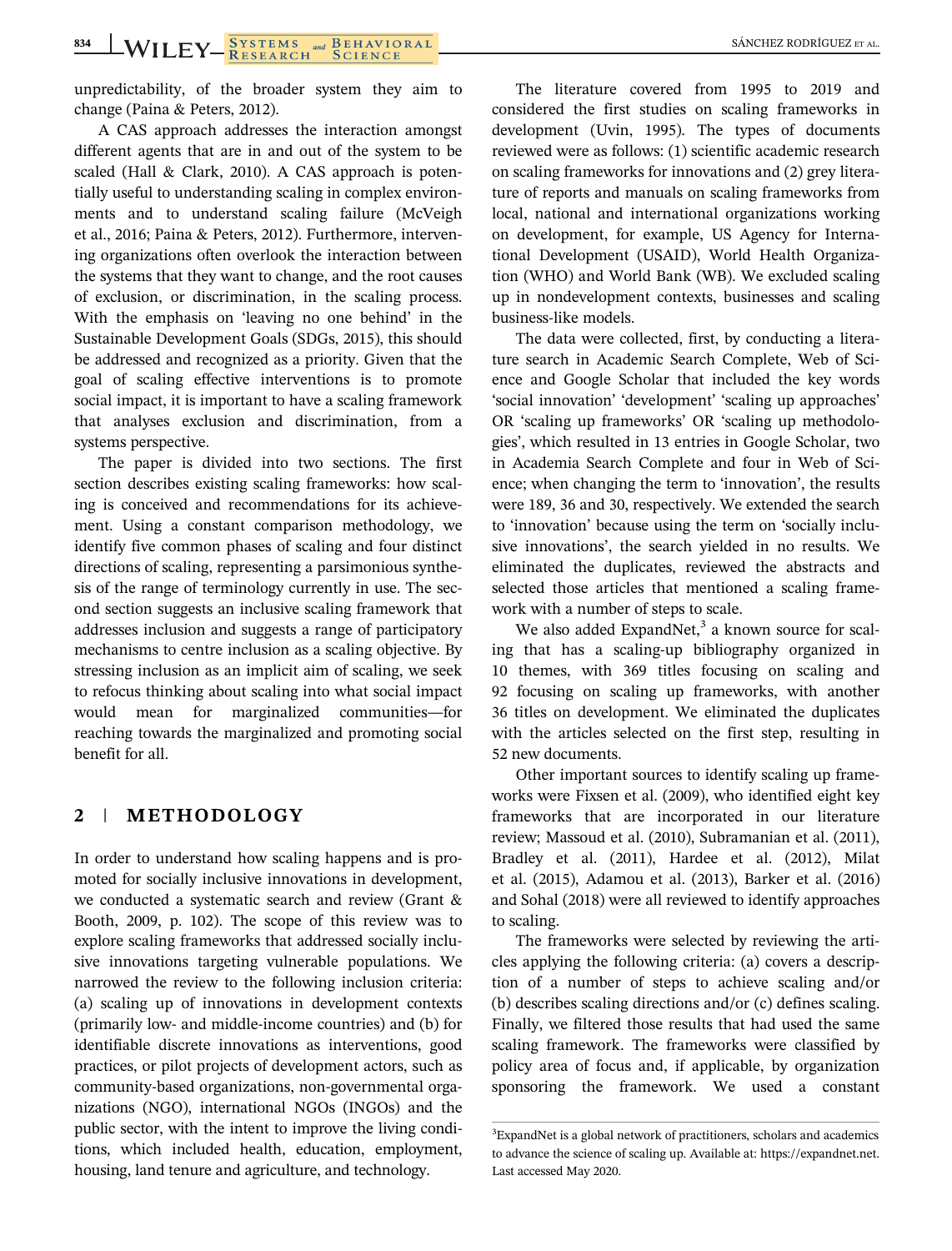unpredictability, of the broader system they aim to change (Paina & Peters, 2012).

A CAS approach addresses the interaction amongst different agents that are in and out of the system to be scaled (Hall & Clark, 2010). A CAS approach is potentially useful to understanding scaling in complex environments and to understand scaling failure (McVeigh et al., 2016; Paina & Peters, 2012). Furthermore, intervening organizations often overlook the interaction between the systems that they want to change, and the root causes of exclusion, or discrimination, in the scaling process. With the emphasis on 'leaving no one behind' in the Sustainable Development Goals (SDGs, 2015), this should be addressed and recognized as a priority. Given that the goal of scaling effective interventions is to promote social impact, it is important to have a scaling framework that analyses exclusion and discrimination, from a systems perspective.

The paper is divided into two sections. The first section describes existing scaling frameworks: how scaling is conceived and recommendations for its achievement. Using a constant comparison methodology, we identify five common phases of scaling and four distinct directions of scaling, representing a parsimonious synthesis of the range of terminology currently in use. The second section suggests an inclusive scaling framework that addresses inclusion and suggests a range of participatory mechanisms to centre inclusion as a scaling objective. By stressing inclusion as an implicit aim of scaling, we seek to refocus thinking about scaling into what social impact would mean for marginalized communities—for reaching towards the marginalized and promoting social benefit for all.

# 2 | METHODOLOGY

In order to understand how scaling happens and is promoted for socially inclusive innovations in development, we conducted a systematic search and review (Grant & Booth, 2009, p. 102). The scope of this review was to explore scaling frameworks that addressed socially inclusive innovations targeting vulnerable populations. We narrowed the review to the following inclusion criteria: (a) scaling up of innovations in development contexts (primarily low- and middle-income countries) and (b) for identifiable discrete innovations as interventions, good practices, or pilot projects of development actors, such as community-based organizations, non-governmental organizations (NGO), international NGOs (INGOs) and the public sector, with the intent to improve the living conditions, which included health, education, employment, housing, land tenure and agriculture, and technology.

The literature covered from 1995 to 2019 and considered the first studies on scaling frameworks in development (Uvin, 1995). The types of documents reviewed were as follows: (1) scientific academic research on scaling frameworks for innovations and (2) grey literature of reports and manuals on scaling frameworks from local, national and international organizations working on development, for example, US Agency for International Development (USAID), World Health Organization (WHO) and World Bank (WB). We excluded scaling up in nondevelopment contexts, businesses and scaling business-like models.

The data were collected, first, by conducting a literature search in Academic Search Complete, Web of Science and Google Scholar that included the key words 'social innovation' 'development' 'scaling up approaches' OR 'scaling up frameworks' OR 'scaling up methodologies', which resulted in 13 entries in Google Scholar, two in Academia Search Complete and four in Web of Science; when changing the term to 'innovation', the results were 189, 36 and 30, respectively. We extended the search to 'innovation' because using the term on 'socially inclusive innovations', the search yielded in no results. We eliminated the duplicates, reviewed the abstracts and selected those articles that mentioned a scaling framework with a number of steps to scale.

We also added ExpandNet, $3$  a known source for scaling that has a scaling-up bibliography organized in 10 themes, with 369 titles focusing on scaling and 92 focusing on scaling up frameworks, with another 36 titles on development. We eliminated the duplicates with the articles selected on the first step, resulting in 52 new documents.

Other important sources to identify scaling up frameworks were Fixsen et al. (2009), who identified eight key frameworks that are incorporated in our literature review; Massoud et al. (2010), Subramanian et al. (2011), Bradley et al. (2011), Hardee et al. (2012), Milat et al. (2015), Adamou et al. (2013), Barker et al. (2016) and Sohal (2018) were all reviewed to identify approaches to scaling.

The frameworks were selected by reviewing the articles applying the following criteria: (a) covers a description of a number of steps to achieve scaling and/or (b) describes scaling directions and/or (c) defines scaling. Finally, we filtered those results that had used the same scaling framework. The frameworks were classified by policy area of focus and, if applicable, by organization sponsoring the framework. We used a constant

<sup>&</sup>lt;sup>3</sup>ExpandNet is a global network of practitioners, scholars and academics to advance the science of scaling up. Available at: https://expandnet.net. Last accessed May 2020.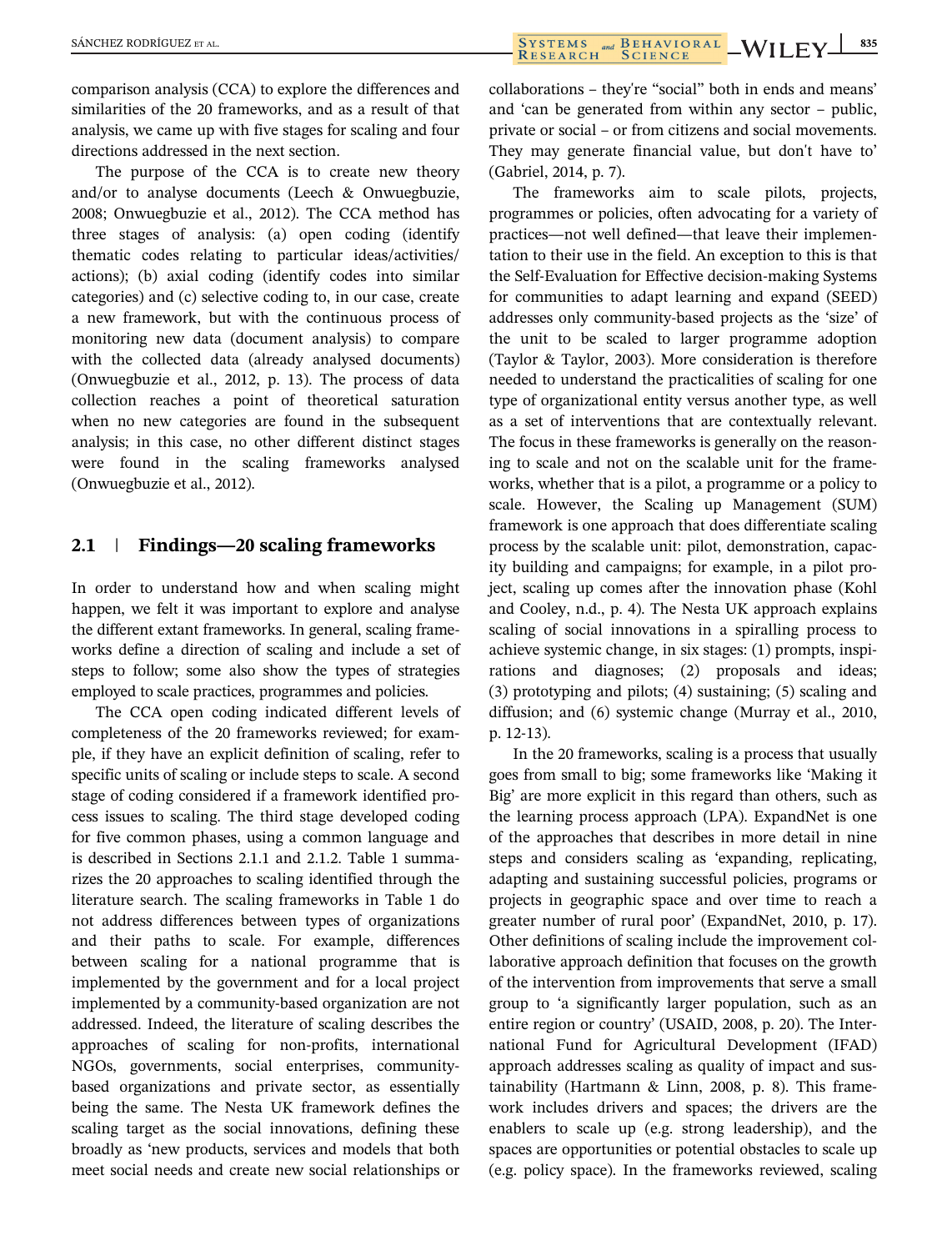comparison analysis (CCA) to explore the differences and similarities of the 20 frameworks, and as a result of that analysis, we came up with five stages for scaling and four directions addressed in the next section.

The purpose of the CCA is to create new theory and/or to analyse documents (Leech & Onwuegbuzie, 2008; Onwuegbuzie et al., 2012). The CCA method has three stages of analysis: (a) open coding (identify thematic codes relating to particular ideas/activities/ actions); (b) axial coding (identify codes into similar categories) and (c) selective coding to, in our case, create a new framework, but with the continuous process of monitoring new data (document analysis) to compare with the collected data (already analysed documents) (Onwuegbuzie et al., 2012, p. 13). The process of data collection reaches a point of theoretical saturation when no new categories are found in the subsequent analysis; in this case, no other different distinct stages were found in the scaling frameworks analysed (Onwuegbuzie et al., 2012).

# 2.1 | Findings—20 scaling frameworks

In order to understand how and when scaling might happen, we felt it was important to explore and analyse the different extant frameworks. In general, scaling frameworks define a direction of scaling and include a set of steps to follow; some also show the types of strategies employed to scale practices, programmes and policies.

The CCA open coding indicated different levels of completeness of the 20 frameworks reviewed; for example, if they have an explicit definition of scaling, refer to specific units of scaling or include steps to scale. A second stage of coding considered if a framework identified process issues to scaling. The third stage developed coding for five common phases, using a common language and is described in Sections 2.1.1 and 2.1.2. Table 1 summarizes the 20 approaches to scaling identified through the literature search. The scaling frameworks in Table 1 do not address differences between types of organizations and their paths to scale. For example, differences between scaling for a national programme that is implemented by the government and for a local project implemented by a community-based organization are not addressed. Indeed, the literature of scaling describes the approaches of scaling for non-profits, international NGOs, governments, social enterprises, communitybased organizations and private sector, as essentially being the same. The Nesta UK framework defines the scaling target as the social innovations, defining these broadly as 'new products, services and models that both meet social needs and create new social relationships or

collaborations – they're "social" both in ends and means' and 'can be generated from within any sector – public, private or social – or from citizens and social movements. They may generate financial value, but don't have to' (Gabriel, 2014, p. 7).

The frameworks aim to scale pilots, projects, programmes or policies, often advocating for a variety of practices—not well defined—that leave their implementation to their use in the field. An exception to this is that the Self-Evaluation for Effective decision-making Systems for communities to adapt learning and expand (SEED) addresses only community-based projects as the 'size' of the unit to be scaled to larger programme adoption (Taylor & Taylor, 2003). More consideration is therefore needed to understand the practicalities of scaling for one type of organizational entity versus another type, as well as a set of interventions that are contextually relevant. The focus in these frameworks is generally on the reasoning to scale and not on the scalable unit for the frameworks, whether that is a pilot, a programme or a policy to scale. However, the Scaling up Management (SUM) framework is one approach that does differentiate scaling process by the scalable unit: pilot, demonstration, capacity building and campaigns; for example, in a pilot project, scaling up comes after the innovation phase (Kohl and Cooley, n.d., p. 4). The Nesta UK approach explains scaling of social innovations in a spiralling process to achieve systemic change, in six stages: (1) prompts, inspirations and diagnoses; (2) proposals and ideas; (3) prototyping and pilots; (4) sustaining; (5) scaling and diffusion; and (6) systemic change (Murray et al., 2010, p. 12-13).

In the 20 frameworks, scaling is a process that usually goes from small to big; some frameworks like 'Making it Big' are more explicit in this regard than others, such as the learning process approach (LPA). ExpandNet is one of the approaches that describes in more detail in nine steps and considers scaling as 'expanding, replicating, adapting and sustaining successful policies, programs or projects in geographic space and over time to reach a greater number of rural poor' (ExpandNet, 2010, p. 17). Other definitions of scaling include the improvement collaborative approach definition that focuses on the growth of the intervention from improvements that serve a small group to 'a significantly larger population, such as an entire region or country' (USAID, 2008, p. 20). The International Fund for Agricultural Development (IFAD) approach addresses scaling as quality of impact and sustainability (Hartmann & Linn, 2008, p. 8). This framework includes drivers and spaces; the drivers are the enablers to scale up (e.g. strong leadership), and the spaces are opportunities or potential obstacles to scale up (e.g. policy space). In the frameworks reviewed, scaling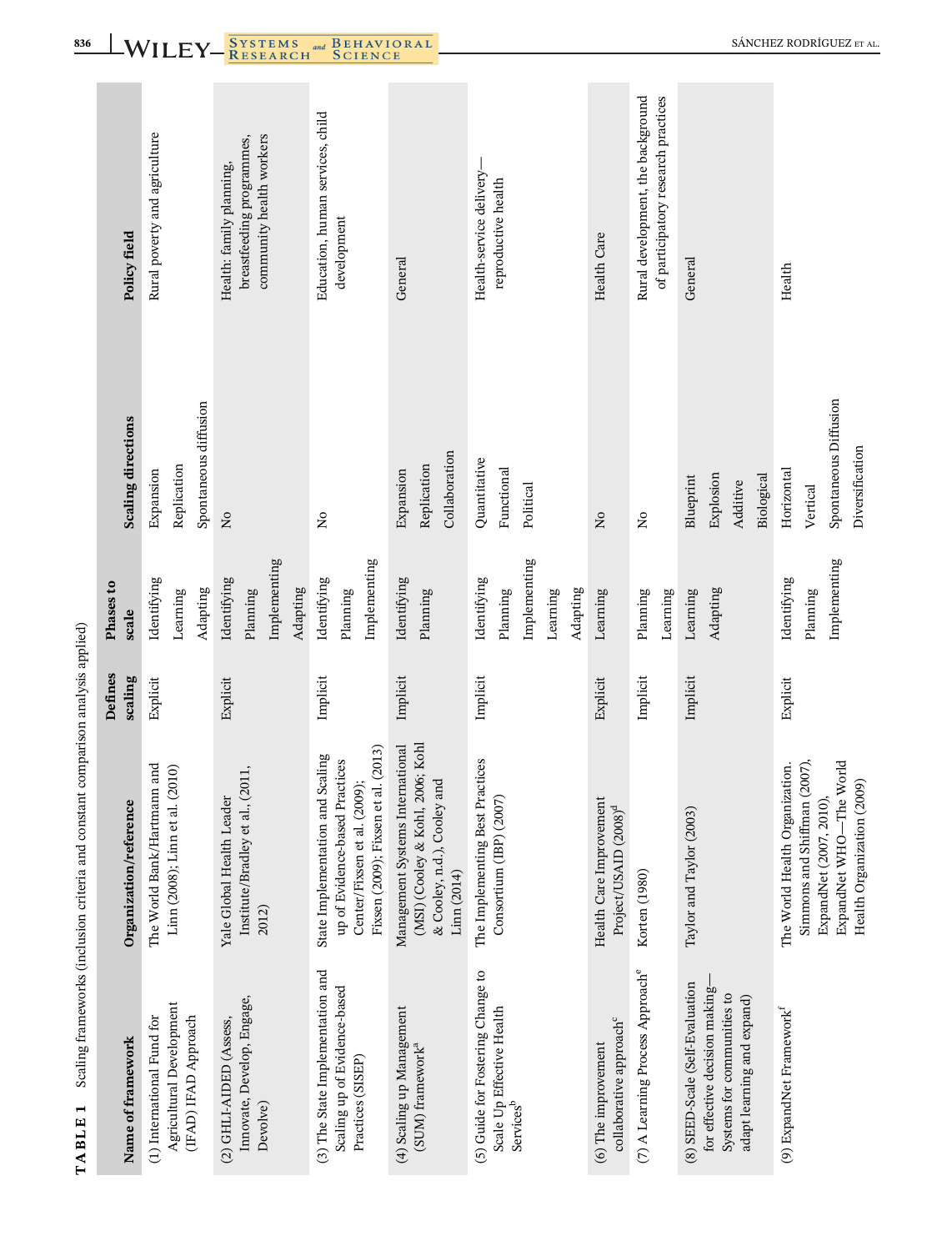| IADLE I                                                     | outlife realing training and the second constant comparison and principled. | Defines  | Phases to            |                           |                                     |
|-------------------------------------------------------------|-----------------------------------------------------------------------------|----------|----------------------|---------------------------|-------------------------------------|
| Name of framework                                           | Organization/reference                                                      | scaling  | scale                | <b>Scaling directions</b> | Policy field                        |
| Agricultural Development<br>(1) International Fund for      | The World Bank/Hartmann and<br>Linn (2008); Linn et al. (2010)              | Explicit | Identifying          | Replication<br>Expansion  | Rural poverty and agriculture       |
| (IFAD) IFAD Approach                                        |                                                                             |          | Adapting<br>Learning | Spontaneous diffusion     |                                     |
| (2) GHLI-AIDED (Assess,                                     | Yale Global Health Leader                                                   | Explicit | Identifying          | $\tilde{z}$               | Health: family planning,            |
| Innovate, Develop, Engage,                                  | Institute/Bradley et al., (2011,<br>2012)                                   |          | Planning             |                           | breastfeeding programmes,           |
| Devolve)                                                    |                                                                             |          | Implementing         |                           | community health workers            |
|                                                             |                                                                             |          | Adapting             |                           |                                     |
| (3) The State Implementation and                            | Scaling<br>State Implementation and                                         | Implicit | Identifying          | $\mathsf{S}^{\mathsf{O}}$ | Education, human services, child    |
| Scaling up of Evidence-based<br>Practices (SISEP)           | up of Evidence-based Practices<br>Center/Fixsen et al. (2009);              |          | Planning             |                           | development                         |
|                                                             | Fixsen (2009); Fixsen et al. (2013)                                         |          | Implementing         |                           |                                     |
| (4) Scaling up Management                                   | Management Systems International                                            | Implicit | Identifying          | Expansion                 | General                             |
| (SUM) framework <sup>a</sup>                                | (MSI) (Cooley & Kohl, 2006; Kohl                                            |          | Planning             | Replication               |                                     |
|                                                             | & Cooley, n.d.), Cooley and<br>Linn (2014)                                  |          |                      | Collaboration             |                                     |
| (5) Guide for Fostering Change to                           | The Implementing Best Practices                                             | Implicit | Identifying          | Quantitative              | Health-service delivery-            |
| Scale Up Effective Health<br>Services <sup>b</sup>          | Consortium (IBP) (2007)                                                     |          | Planning             | Functional                | reproductive health                 |
|                                                             |                                                                             |          | Implementing         | Political                 |                                     |
|                                                             |                                                                             |          | Learning             |                           |                                     |
|                                                             |                                                                             |          | Adapting             |                           |                                     |
| collaborative approach <sup>c</sup><br>(6) The improvement  | Health Care Improvement<br>Project/USAID (2008) <sup>d</sup>                | Explicit | Learning             | $\mathsf{S}^{\mathsf{O}}$ | Health Care                         |
| (7) A Learning Process Approach®                            | Korten (1980)                                                               | Implicit | Planning             | $\tilde{z}$               | Rural development, the background   |
|                                                             |                                                                             |          | Learning             |                           | of participatory research practices |
| (8) SEED-Scale (Self-Evaluation                             | Taylor and Taylor (2003)                                                    | Implicit | Learning             | Blueprint                 | General                             |
| for effective decision making<br>Systems for communities to |                                                                             |          | Adapting             | Explosion                 |                                     |
| adapt learning and expand)                                  |                                                                             |          |                      | Additive                  |                                     |
|                                                             |                                                                             |          |                      | Biological                |                                     |
| (9) ExpandNet Framework                                     | The World Health Organization.                                              | Explicit | Identifying          | Horizontal                | Health                              |
|                                                             | Simmons and Shiffman (2007),<br>ExpandNet (2007, 2010),                     |          | Planning             | Vertical                  |                                     |
|                                                             | ExpandNet WHO-The World                                                     |          | Implementing         | Spontaneous Diffusion     |                                     |
|                                                             | Health Organization (2009)                                                  |          |                      | Diversification           |                                     |

analysis annlied) TABLE 1 Scaling frameworks (inclusion criteria and constant comparison analysis applied) þ and porte (inclusion criteria Scaling fram TABLE<sub>1</sub>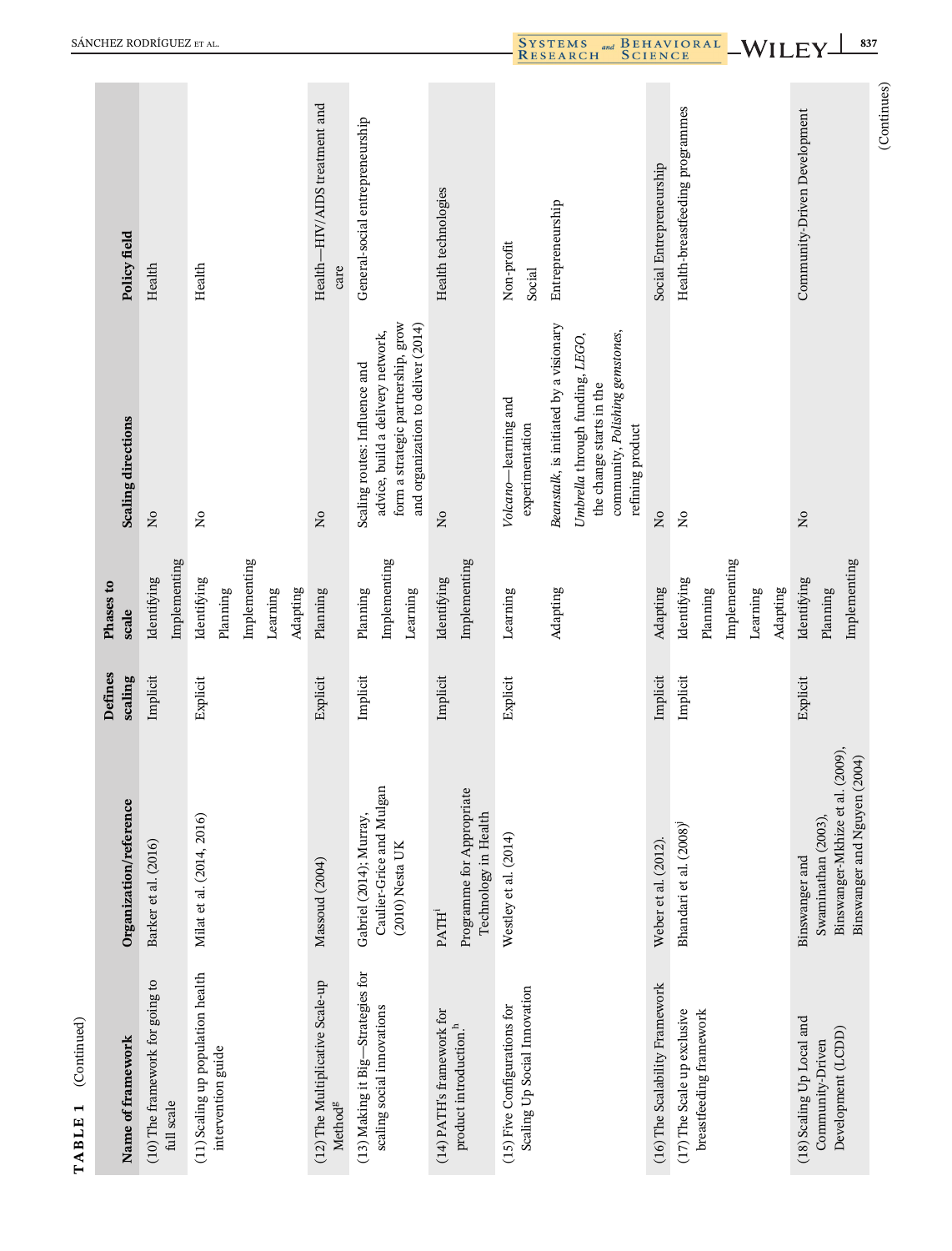| Policy field              | Health                                        | Health                                                          | Health-HIV/AIDS treatment and<br>care                            | General-social entrepreneurship                                                                                                                | Health technologies                                                              | Entrepreneurship<br>Non-profit<br>Social                                                                             | Social Entrepreneurship                                                                                    | Health-breastfeeding programmes                                 | (Continues)<br>Community-Driven Development                                                                  |
|---------------------------|-----------------------------------------------|-----------------------------------------------------------------|------------------------------------------------------------------|------------------------------------------------------------------------------------------------------------------------------------------------|----------------------------------------------------------------------------------|----------------------------------------------------------------------------------------------------------------------|------------------------------------------------------------------------------------------------------------|-----------------------------------------------------------------|--------------------------------------------------------------------------------------------------------------|
| <b>Scaling directions</b> | $\rm \stackrel{\circ}{\rm \bf Z}$             | $\tilde{z}$                                                     | $\rm \stackrel{\circ}{\rm \stackrel{\circ}{\rm \scriptstyle X}}$ | form a strategic partnership, grow<br>and organization to deliver (2014)<br>advice, build a delivery network,<br>Scaling routes: Influence and | $\rm \stackrel{\circ}{\rm \stackrel{\circ}{\rm \scriptscriptstyle M}}$           | Beanstalk, is initiated by a visionary<br>Umbrella through funding, LEGO,<br>Volcano-learning and<br>experimentation | community, Polishing gemstones,<br>the change starts in the<br>refining product<br>$\overline{\mathsf{x}}$ | $\overline{\mathsf{x}}$                                         | $\rm \stackrel{\circ}{\rm \stackrel{\circ}{\rm \scriptscriptstyle M}}$                                       |
| Phases to<br>scale        | Implementing<br>Identifying                   | Implementing<br>Identifying<br>Adapting<br>Planning<br>Learning | Planning                                                         | Implementing<br>Planning<br>Learning                                                                                                           | Implementing<br>Identifying                                                      | Adapting<br>Learning                                                                                                 | Adapting                                                                                                   | Implementing<br>Identifying<br>Adapting<br>Planning<br>Learning | Implementing<br>Identifying<br>Planning                                                                      |
| <b>Defines</b><br>scaling | Implicit                                      | Explicit                                                        | Explicit                                                         | Implicit                                                                                                                                       | Implicit                                                                         | Explicit                                                                                                             | Implicit                                                                                                   | Implicit                                                        | Explicit                                                                                                     |
| Organization/reference    | Barker et al. (2016)                          | Milat et al. (2014, 2016)                                       | Massoud (2004)                                                   | Caulier-Grice and Mulgan<br>Gabriel (2014); Murray,<br>$(2010)$ Nesta UK                                                                       | Programme for Appropriate<br>Technology in Health<br>$\ensuremath{{\rm PATH}}^i$ | Westley et al. (2014)                                                                                                | Weber et al. (2012).                                                                                       | Bhandari et al. (2008) <sup>j</sup>                             | Binswanger-Mkhize et al. (2009),<br>(2004)<br>Binswanger and Nguyen<br>Swaminathan (2003),<br>Binswanger and |
| Name of framework         | (10) The framework for going to<br>full scale | (11) Scaling up population health<br>intervention guide         | (12) The Multiplicative Scale-up<br>Method <sup>g</sup>          | (13) Making it Big-Strategies for<br>scaling social innovations                                                                                | (14) PATH's framework for<br>product introduction. <sup>h</sup>                  | Scaling Up Social Innovation<br>(15) Five Configurations for                                                         | (16) The Scalability Framework                                                                             | (17) The Scale up exclusive<br>breastfeeding framework          | (18) Scaling Up Local and<br>Development (LCDD)<br>Community-Driven                                          |

TABLE 1 (Continued)

TABLE 1 (Continued)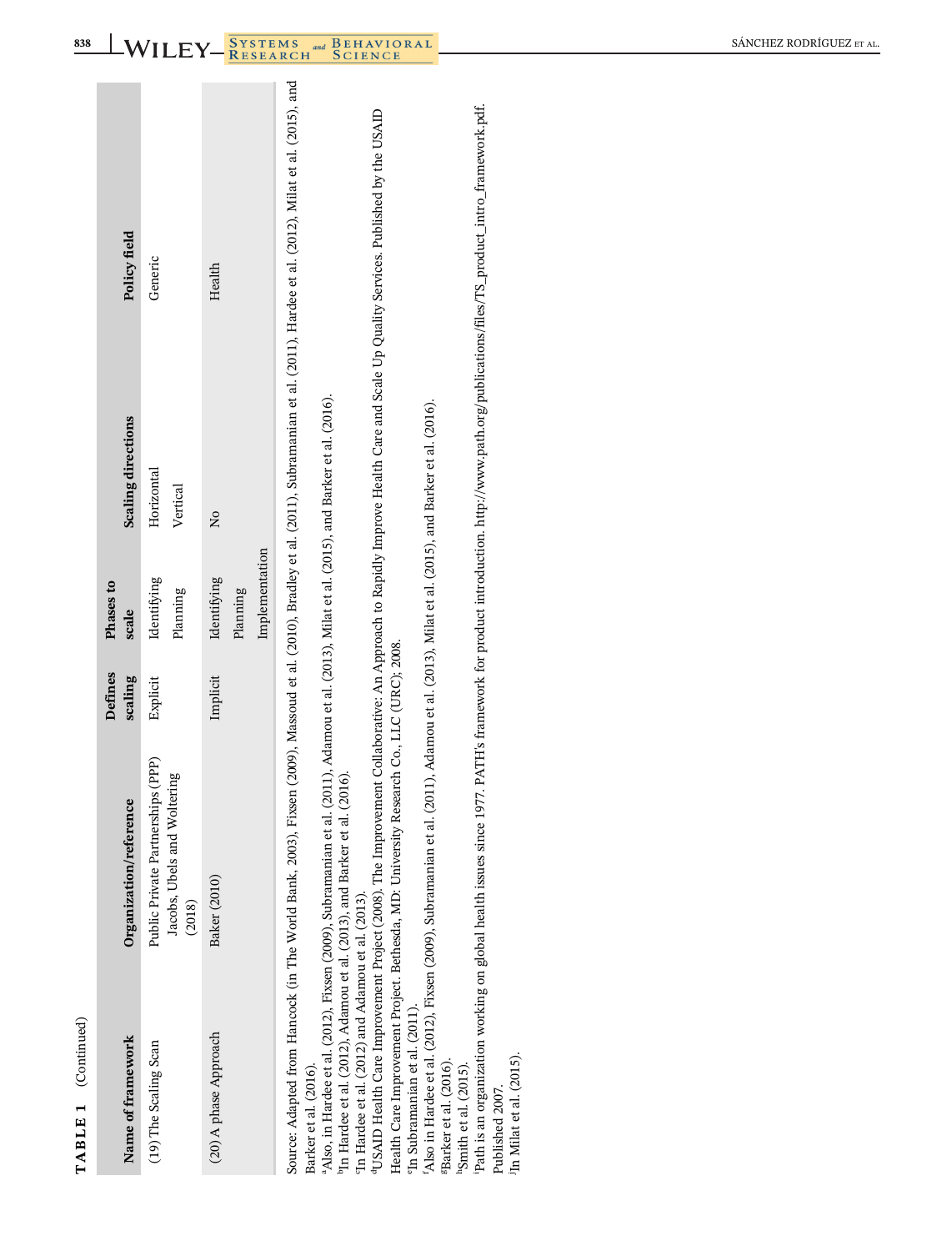| Name of framework                                                                     | Organization/reference                                                                                                                                                                     | <b>Defines</b><br>scaling | Phases to<br>scale | <b>Scaling directions</b>                                                                                         | Policy field                                                                                                                    |
|---------------------------------------------------------------------------------------|--------------------------------------------------------------------------------------------------------------------------------------------------------------------------------------------|---------------------------|--------------------|-------------------------------------------------------------------------------------------------------------------|---------------------------------------------------------------------------------------------------------------------------------|
|                                                                                       |                                                                                                                                                                                            |                           |                    |                                                                                                                   |                                                                                                                                 |
| (19) The Scaling Scan                                                                 | i(PPP)<br>Public Private Partnerships                                                                                                                                                      | Explicit                  | Identifying        | Horizontal                                                                                                        | Generic                                                                                                                         |
|                                                                                       | Jacobs, Ubels and Woltering<br>(2018)                                                                                                                                                      |                           | Planning           | Vertical                                                                                                          |                                                                                                                                 |
| (20) A phase Approach                                                                 | Baker (2010)                                                                                                                                                                               | Implicit                  | Identifying        | $\tilde{z}$                                                                                                       | Health                                                                                                                          |
|                                                                                       |                                                                                                                                                                                            |                           | Planning           |                                                                                                                   |                                                                                                                                 |
|                                                                                       |                                                                                                                                                                                            |                           | Implementation     |                                                                                                                   |                                                                                                                                 |
| Source: Adapted from Hancock (in The World Bank, 2003), Fixsen                        |                                                                                                                                                                                            |                           |                    |                                                                                                                   | (2009), Massoud et al. (2010), Bradley et al. (2011), Subramanian et al. (2011), Hardee et al. (2012), Milat et al. (2015), and |
| Barker et al. (2016).                                                                 |                                                                                                                                                                                            |                           |                    |                                                                                                                   |                                                                                                                                 |
| <sup>b</sup> In Hardee et al. (2012), Adamou et al. (2013), and Barker et al. (2016). | "Also, in Hardee et al. (2012), Fixsen (2009), Subramanian et al. (2011), Adamou et al. (2013), Milat et al. (2015), and Barker et al. (2016).                                             |                           |                    |                                                                                                                   |                                                                                                                                 |
| "In Hardee et al. (2012) and Adamou et al. (2013).                                    |                                                                                                                                                                                            |                           |                    |                                                                                                                   |                                                                                                                                 |
|                                                                                       | <sup>4</sup> USAID Health Care Improvement Project (2008). The Improvement Collaborative: An Approach to Rapidly Improve Health Care and Scale Up Quality Services. Published by the USAID |                           |                    |                                                                                                                   |                                                                                                                                 |
|                                                                                       | Health Care Improvement Project. Bethesda, MD: University Research Co., LLC (URC); 2008.                                                                                                   |                           |                    |                                                                                                                   |                                                                                                                                 |
| <sup>e</sup> In Subramanian et al. (2011).                                            |                                                                                                                                                                                            |                           |                    |                                                                                                                   |                                                                                                                                 |
|                                                                                       | "Also in Hardee et al. (2012), Fixsen (2009), Subramanian et al. (2011), Adamou et al. (2013), Milat et al. (2015), and Barker et al. (2016).                                              |                           |                    |                                                                                                                   |                                                                                                                                 |
| <sup>g</sup> Barker et al. (2016).                                                    |                                                                                                                                                                                            |                           |                    |                                                                                                                   |                                                                                                                                 |
| hSmith et al. (2015).                                                                 |                                                                                                                                                                                            |                           |                    |                                                                                                                   |                                                                                                                                 |
| Path is an organization working on global health issues since 1977.                   |                                                                                                                                                                                            |                           |                    | PATH's framework for product introduction. http://www.path.org/publications/files/TS_product_intro_framework.pdf. |                                                                                                                                 |
| Published 2007.                                                                       |                                                                                                                                                                                            |                           |                    |                                                                                                                   |                                                                                                                                 |
| In Milat et al. (2015).                                                               |                                                                                                                                                                                            |                           |                    |                                                                                                                   |                                                                                                                                 |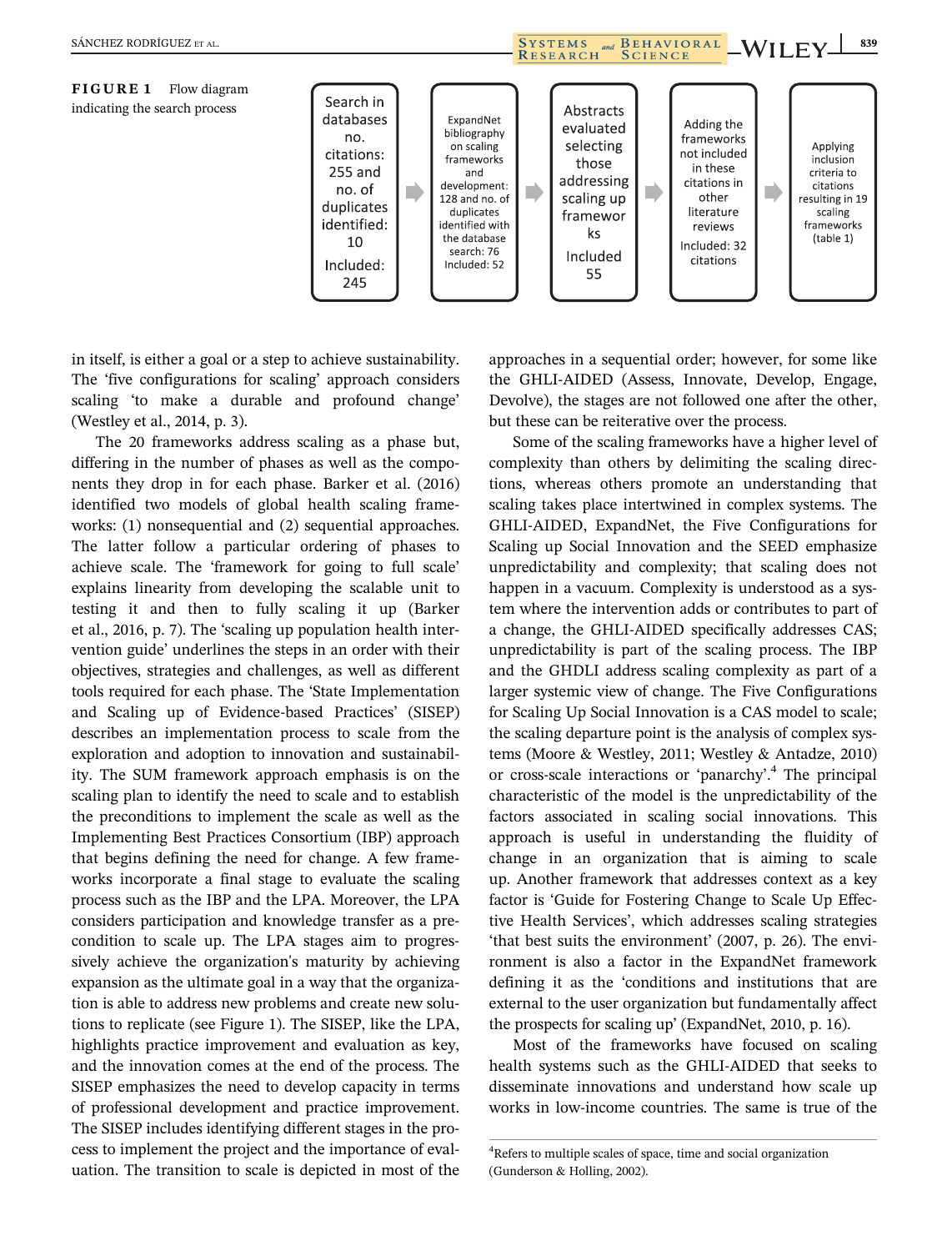FIGURE 1 Flow diagram indicating the search process



in itself, is either a goal or a step to achieve sustainability. The 'five configurations for scaling' approach considers scaling 'to make a durable and profound change' (Westley et al., 2014, p. 3).

The 20 frameworks address scaling as a phase but, differing in the number of phases as well as the components they drop in for each phase. Barker et al. (2016) identified two models of global health scaling frameworks: (1) nonsequential and (2) sequential approaches. The latter follow a particular ordering of phases to achieve scale. The 'framework for going to full scale' explains linearity from developing the scalable unit to testing it and then to fully scaling it up (Barker et al., 2016, p. 7). The 'scaling up population health intervention guide' underlines the steps in an order with their objectives, strategies and challenges, as well as different tools required for each phase. The 'State Implementation and Scaling up of Evidence-based Practices' (SISEP) describes an implementation process to scale from the exploration and adoption to innovation and sustainability. The SUM framework approach emphasis is on the scaling plan to identify the need to scale and to establish the preconditions to implement the scale as well as the Implementing Best Practices Consortium (IBP) approach that begins defining the need for change. A few frameworks incorporate a final stage to evaluate the scaling process such as the IBP and the LPA. Moreover, the LPA considers participation and knowledge transfer as a precondition to scale up. The LPA stages aim to progressively achieve the organization's maturity by achieving expansion as the ultimate goal in a way that the organization is able to address new problems and create new solutions to replicate (see Figure 1). The SISEP, like the LPA, highlights practice improvement and evaluation as key, and the innovation comes at the end of the process. The SISEP emphasizes the need to develop capacity in terms of professional development and practice improvement. The SISEP includes identifying different stages in the process to implement the project and the importance of evaluation. The transition to scale is depicted in most of the

approaches in a sequential order; however, for some like the GHLI-AIDED (Assess, Innovate, Develop, Engage, Devolve), the stages are not followed one after the other, but these can be reiterative over the process.

Some of the scaling frameworks have a higher level of complexity than others by delimiting the scaling directions, whereas others promote an understanding that scaling takes place intertwined in complex systems. The GHLI-AIDED, ExpandNet, the Five Configurations for Scaling up Social Innovation and the SEED emphasize unpredictability and complexity; that scaling does not happen in a vacuum. Complexity is understood as a system where the intervention adds or contributes to part of a change, the GHLI-AIDED specifically addresses CAS; unpredictability is part of the scaling process. The IBP and the GHDLI address scaling complexity as part of a larger systemic view of change. The Five Configurations for Scaling Up Social Innovation is a CAS model to scale; the scaling departure point is the analysis of complex systems (Moore & Westley, 2011; Westley & Antadze, 2010) or cross-scale interactions or 'panarchy'. <sup>4</sup> The principal characteristic of the model is the unpredictability of the factors associated in scaling social innovations. This approach is useful in understanding the fluidity of change in an organization that is aiming to scale up. Another framework that addresses context as a key factor is 'Guide for Fostering Change to Scale Up Effective Health Services', which addresses scaling strategies 'that best suits the environment' (2007, p. 26). The environment is also a factor in the ExpandNet framework defining it as the 'conditions and institutions that are external to the user organization but fundamentally affect the prospects for scaling up' (ExpandNet, 2010, p. 16).

Most of the frameworks have focused on scaling health systems such as the GHLI-AIDED that seeks to disseminate innovations and understand how scale up works in low-income countries. The same is true of the

<sup>4</sup> Refers to multiple scales of space, time and social organization (Gunderson & Holling, 2002).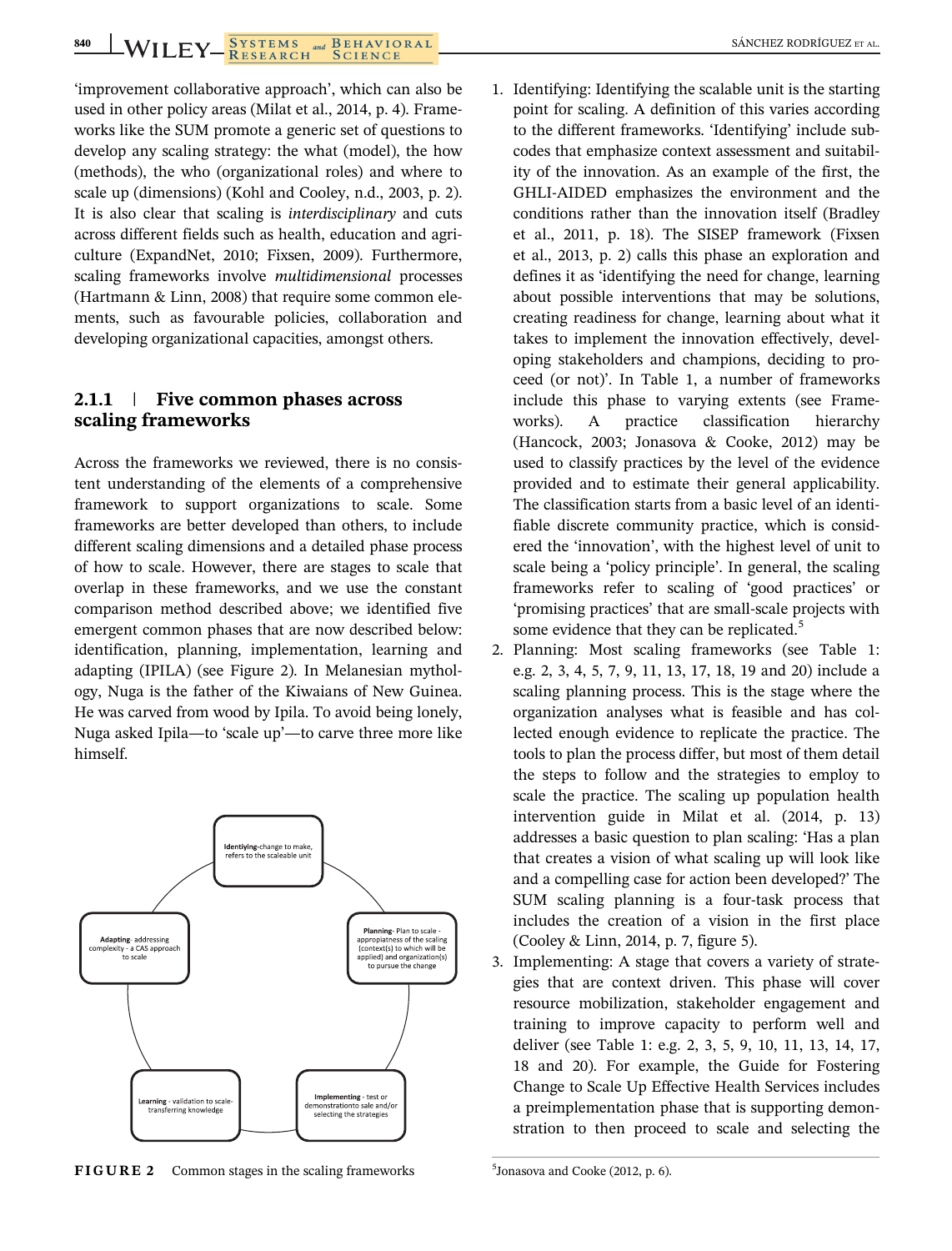840 WILEY SYSTEMS and BEHAVIORAL SÁNCHEZ RODRÍGUEZ ET AL.

'improvement collaborative approach', which can also be used in other policy areas (Milat et al., 2014, p. 4). Frameworks like the SUM promote a generic set of questions to develop any scaling strategy: the what (model), the how (methods), the who (organizational roles) and where to scale up (dimensions) (Kohl and Cooley, n.d., 2003, p. 2). It is also clear that scaling is interdisciplinary and cuts across different fields such as health, education and agriculture (ExpandNet, 2010; Fixsen, 2009). Furthermore, scaling frameworks involve multidimensional processes (Hartmann & Linn, 2008) that require some common elements, such as favourable policies, collaboration and developing organizational capacities, amongst others.

# 2.1.1 | Five common phases across scaling frameworks

Across the frameworks we reviewed, there is no consistent understanding of the elements of a comprehensive framework to support organizations to scale. Some frameworks are better developed than others, to include different scaling dimensions and a detailed phase process of how to scale. However, there are stages to scale that overlap in these frameworks, and we use the constant comparison method described above; we identified five emergent common phases that are now described below: identification, planning, implementation, learning and adapting (IPILA) (see Figure 2). In Melanesian mythology, Nuga is the father of the Kiwaians of New Guinea. He was carved from wood by Ipila. To avoid being lonely, Nuga asked Ipila—to 'scale up'—to carve three more like himself.



FIGURE 2 Common stages in the scaling frameworks

- 1. Identifying: Identifying the scalable unit is the starting point for scaling. A definition of this varies according to the different frameworks. 'Identifying' include subcodes that emphasize context assessment and suitability of the innovation. As an example of the first, the GHLI-AIDED emphasizes the environment and the conditions rather than the innovation itself (Bradley et al., 2011, p. 18). The SISEP framework (Fixsen et al., 2013, p. 2) calls this phase an exploration and defines it as 'identifying the need for change, learning about possible interventions that may be solutions, creating readiness for change, learning about what it takes to implement the innovation effectively, developing stakeholders and champions, deciding to proceed (or not)'. In Table 1, a number of frameworks include this phase to varying extents (see Frameworks). A practice classification hierarchy (Hancock, 2003; Jonasova & Cooke, 2012) may be used to classify practices by the level of the evidence provided and to estimate their general applicability. The classification starts from a basic level of an identifiable discrete community practice, which is considered the 'innovation', with the highest level of unit to scale being a 'policy principle'. In general, the scaling frameworks refer to scaling of 'good practices' or 'promising practices' that are small-scale projects with some evidence that they can be replicated.<sup>5</sup>
- 2. Planning: Most scaling frameworks (see Table 1: e.g. 2, 3, 4, 5, 7, 9, 11, 13, 17, 18, 19 and 20) include a scaling planning process. This is the stage where the organization analyses what is feasible and has collected enough evidence to replicate the practice. The tools to plan the process differ, but most of them detail the steps to follow and the strategies to employ to scale the practice. The scaling up population health intervention guide in Milat et al. (2014, p. 13) addresses a basic question to plan scaling: 'Has a plan that creates a vision of what scaling up will look like and a compelling case for action been developed?' The SUM scaling planning is a four-task process that includes the creation of a vision in the first place (Cooley & Linn, 2014, p. 7, figure 5).
- 3. Implementing: A stage that covers a variety of strategies that are context driven. This phase will cover resource mobilization, stakeholder engagement and training to improve capacity to perform well and deliver (see Table 1: e.g. 2, 3, 5, 9, 10, 11, 13, 14, 17, 18 and 20). For example, the Guide for Fostering Change to Scale Up Effective Health Services includes a preimplementation phase that is supporting demonstration to then proceed to scale and selecting the

<sup>&</sup>lt;sup>5</sup>Jonasova and Cooke (2012, p. 6).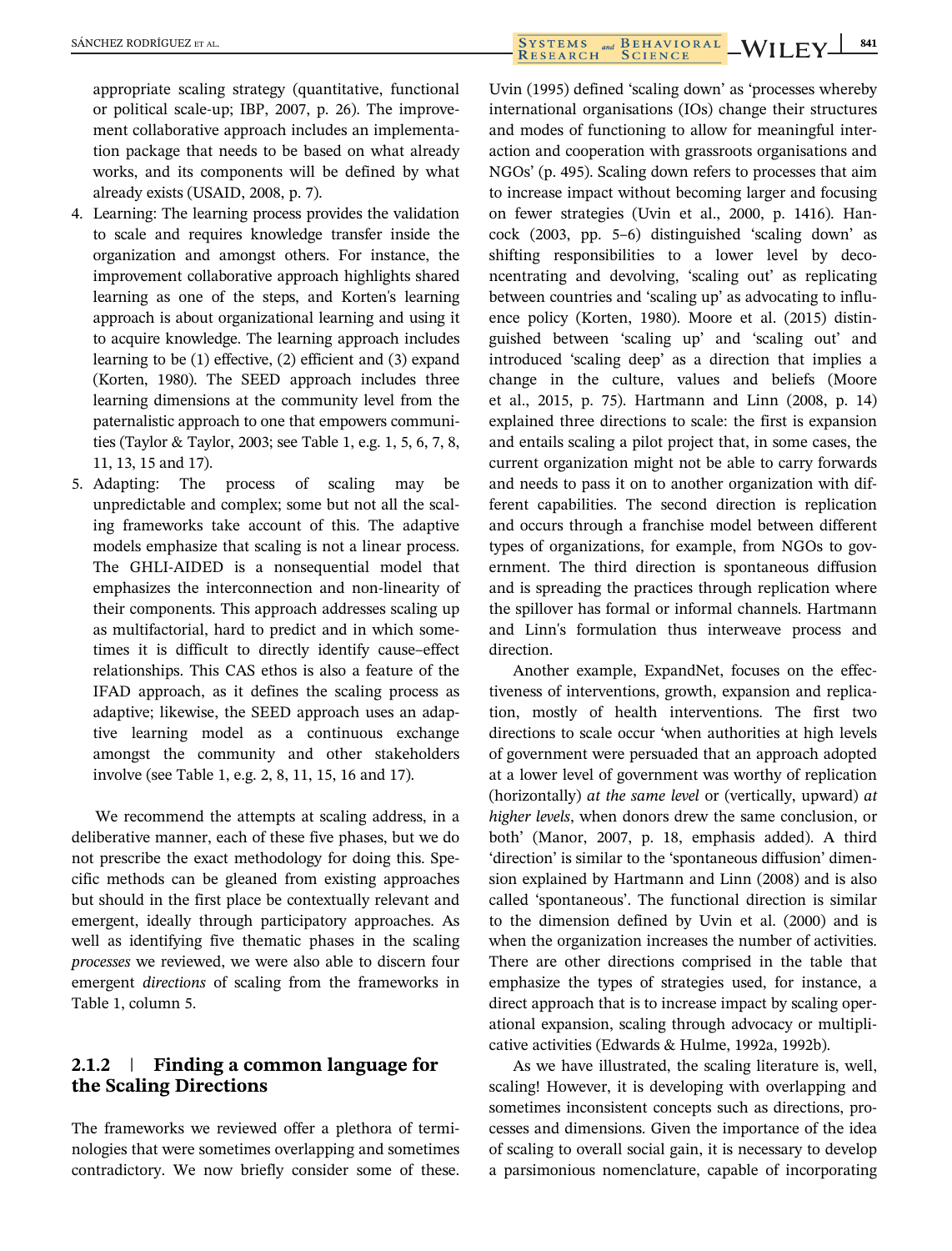appropriate scaling strategy (quantitative, functional or political scale-up; IBP, 2007, p. 26). The improvement collaborative approach includes an implementation package that needs to be based on what already works, and its components will be defined by what already exists (USAID, 2008, p. 7).

- 4. Learning: The learning process provides the validation to scale and requires knowledge transfer inside the organization and amongst others. For instance, the improvement collaborative approach highlights shared learning as one of the steps, and Korten's learning approach is about organizational learning and using it to acquire knowledge. The learning approach includes learning to be (1) effective, (2) efficient and (3) expand (Korten, 1980). The SEED approach includes three learning dimensions at the community level from the paternalistic approach to one that empowers communities (Taylor & Taylor, 2003; see Table 1, e.g. 1, 5, 6, 7, 8, 11, 13, 15 and 17).
- 5. Adapting: The process of scaling may be unpredictable and complex; some but not all the scaling frameworks take account of this. The adaptive models emphasize that scaling is not a linear process. The GHLI-AIDED is a nonsequential model that emphasizes the interconnection and non-linearity of their components. This approach addresses scaling up as multifactorial, hard to predict and in which sometimes it is difficult to directly identify cause–effect relationships. This CAS ethos is also a feature of the IFAD approach, as it defines the scaling process as adaptive; likewise, the SEED approach uses an adaptive learning model as a continuous exchange amongst the community and other stakeholders involve (see Table 1, e.g. 2, 8, 11, 15, 16 and 17).

We recommend the attempts at scaling address, in a deliberative manner, each of these five phases, but we do not prescribe the exact methodology for doing this. Specific methods can be gleaned from existing approaches but should in the first place be contextually relevant and emergent, ideally through participatory approaches. As well as identifying five thematic phases in the scaling processes we reviewed, we were also able to discern four emergent directions of scaling from the frameworks in Table 1, column 5.

### 2.1.2 Finding a common language for the Scaling Directions

The frameworks we reviewed offer a plethora of terminologies that were sometimes overlapping and sometimes contradictory. We now briefly consider some of these. Uvin (1995) defined 'scaling down' as 'processes whereby international organisations (IOs) change their structures and modes of functioning to allow for meaningful interaction and cooperation with grassroots organisations and NGOs' (p. 495). Scaling down refers to processes that aim to increase impact without becoming larger and focusing on fewer strategies (Uvin et al., 2000, p. 1416). Hancock (2003, pp. 5–6) distinguished 'scaling down' as shifting responsibilities to a lower level by deconcentrating and devolving, 'scaling out' as replicating between countries and 'scaling up' as advocating to influence policy (Korten, 1980). Moore et al. (2015) distinguished between 'scaling up' and 'scaling out' and introduced 'scaling deep' as a direction that implies a change in the culture, values and beliefs (Moore et al., 2015, p. 75). Hartmann and Linn (2008, p. 14) explained three directions to scale: the first is expansion and entails scaling a pilot project that, in some cases, the current organization might not be able to carry forwards and needs to pass it on to another organization with different capabilities. The second direction is replication and occurs through a franchise model between different types of organizations, for example, from NGOs to government. The third direction is spontaneous diffusion and is spreading the practices through replication where the spillover has formal or informal channels. Hartmann and Linn's formulation thus interweave process and direction.

Another example, ExpandNet, focuses on the effectiveness of interventions, growth, expansion and replication, mostly of health interventions. The first two directions to scale occur 'when authorities at high levels of government were persuaded that an approach adopted at a lower level of government was worthy of replication (horizontally) at the same level or (vertically, upward) at higher levels, when donors drew the same conclusion, or both' (Manor, 2007, p. 18, emphasis added). A third 'direction' is similar to the 'spontaneous diffusion' dimension explained by Hartmann and Linn (2008) and is also called 'spontaneous'. The functional direction is similar to the dimension defined by Uvin et al. (2000) and is when the organization increases the number of activities. There are other directions comprised in the table that emphasize the types of strategies used, for instance, a direct approach that is to increase impact by scaling operational expansion, scaling through advocacy or multiplicative activities (Edwards & Hulme, 1992a, 1992b).

As we have illustrated, the scaling literature is, well, scaling! However, it is developing with overlapping and sometimes inconsistent concepts such as directions, processes and dimensions. Given the importance of the idea of scaling to overall social gain, it is necessary to develop a parsimonious nomenclature, capable of incorporating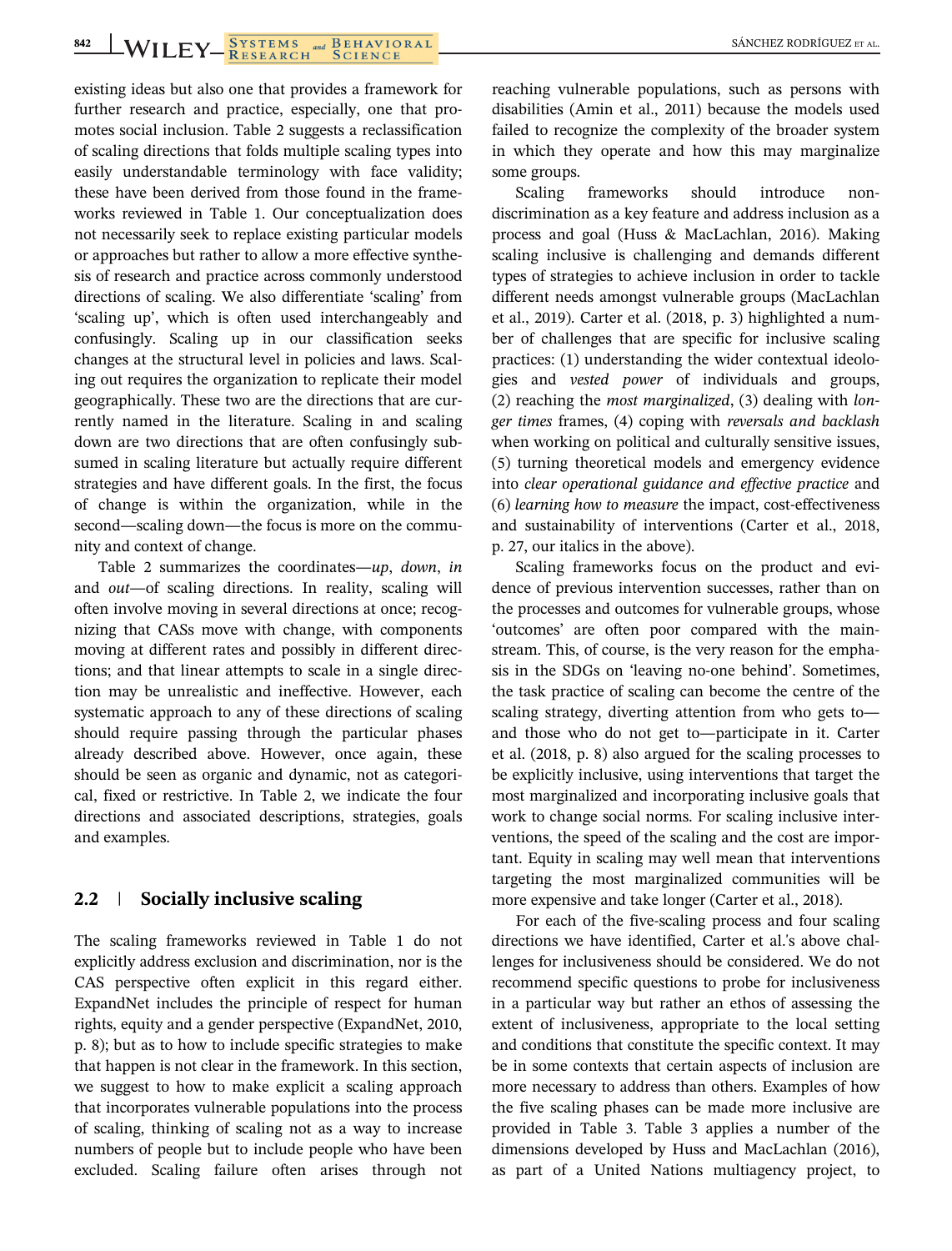842 | WILEY RESEARCH BEHAVIORAL SÁNCHEZ RODRÍGUEZ ET AL.

existing ideas but also one that provides a framework for further research and practice, especially, one that promotes social inclusion. Table 2 suggests a reclassification of scaling directions that folds multiple scaling types into easily understandable terminology with face validity; these have been derived from those found in the frameworks reviewed in Table 1. Our conceptualization does not necessarily seek to replace existing particular models or approaches but rather to allow a more effective synthesis of research and practice across commonly understood directions of scaling. We also differentiate 'scaling' from 'scaling up', which is often used interchangeably and confusingly. Scaling up in our classification seeks changes at the structural level in policies and laws. Scaling out requires the organization to replicate their model geographically. These two are the directions that are currently named in the literature. Scaling in and scaling down are two directions that are often confusingly subsumed in scaling literature but actually require different strategies and have different goals. In the first, the focus of change is within the organization, while in the second—scaling down—the focus is more on the community and context of change.

Table 2 summarizes the coordinates—up, down, in and out—of scaling directions. In reality, scaling will often involve moving in several directions at once; recognizing that CASs move with change, with components moving at different rates and possibly in different directions; and that linear attempts to scale in a single direction may be unrealistic and ineffective. However, each systematic approach to any of these directions of scaling should require passing through the particular phases already described above. However, once again, these should be seen as organic and dynamic, not as categorical, fixed or restrictive. In Table 2, we indicate the four directions and associated descriptions, strategies, goals and examples.

### 2.2 | Socially inclusive scaling

The scaling frameworks reviewed in Table 1 do not explicitly address exclusion and discrimination, nor is the CAS perspective often explicit in this regard either. ExpandNet includes the principle of respect for human rights, equity and a gender perspective (ExpandNet, 2010, p. 8); but as to how to include specific strategies to make that happen is not clear in the framework. In this section, we suggest to how to make explicit a scaling approach that incorporates vulnerable populations into the process of scaling, thinking of scaling not as a way to increase numbers of people but to include people who have been excluded. Scaling failure often arises through not reaching vulnerable populations, such as persons with disabilities (Amin et al., 2011) because the models used failed to recognize the complexity of the broader system in which they operate and how this may marginalize some groups.

Scaling frameworks should introduce nondiscrimination as a key feature and address inclusion as a process and goal (Huss & MacLachlan, 2016). Making scaling inclusive is challenging and demands different types of strategies to achieve inclusion in order to tackle different needs amongst vulnerable groups (MacLachlan et al., 2019). Carter et al. (2018, p. 3) highlighted a number of challenges that are specific for inclusive scaling practices: (1) understanding the wider contextual ideologies and vested power of individuals and groups, (2) reaching the most marginalized, (3) dealing with longer times frames, (4) coping with reversals and backlash when working on political and culturally sensitive issues, (5) turning theoretical models and emergency evidence into clear operational guidance and effective practice and (6) learning how to measure the impact, cost-effectiveness and sustainability of interventions (Carter et al., 2018, p. 27, our italics in the above).

Scaling frameworks focus on the product and evidence of previous intervention successes, rather than on the processes and outcomes for vulnerable groups, whose 'outcomes' are often poor compared with the mainstream. This, of course, is the very reason for the emphasis in the SDGs on 'leaving no-one behind'. Sometimes, the task practice of scaling can become the centre of the scaling strategy, diverting attention from who gets to and those who do not get to—participate in it. Carter et al. (2018, p. 8) also argued for the scaling processes to be explicitly inclusive, using interventions that target the most marginalized and incorporating inclusive goals that work to change social norms. For scaling inclusive interventions, the speed of the scaling and the cost are important. Equity in scaling may well mean that interventions targeting the most marginalized communities will be more expensive and take longer (Carter et al., 2018).

For each of the five-scaling process and four scaling directions we have identified, Carter et al.'s above challenges for inclusiveness should be considered. We do not recommend specific questions to probe for inclusiveness in a particular way but rather an ethos of assessing the extent of inclusiveness, appropriate to the local setting and conditions that constitute the specific context. It may be in some contexts that certain aspects of inclusion are more necessary to address than others. Examples of how the five scaling phases can be made more inclusive are provided in Table 3. Table 3 applies a number of the dimensions developed by Huss and MacLachlan (2016), as part of a United Nations multiagency project, to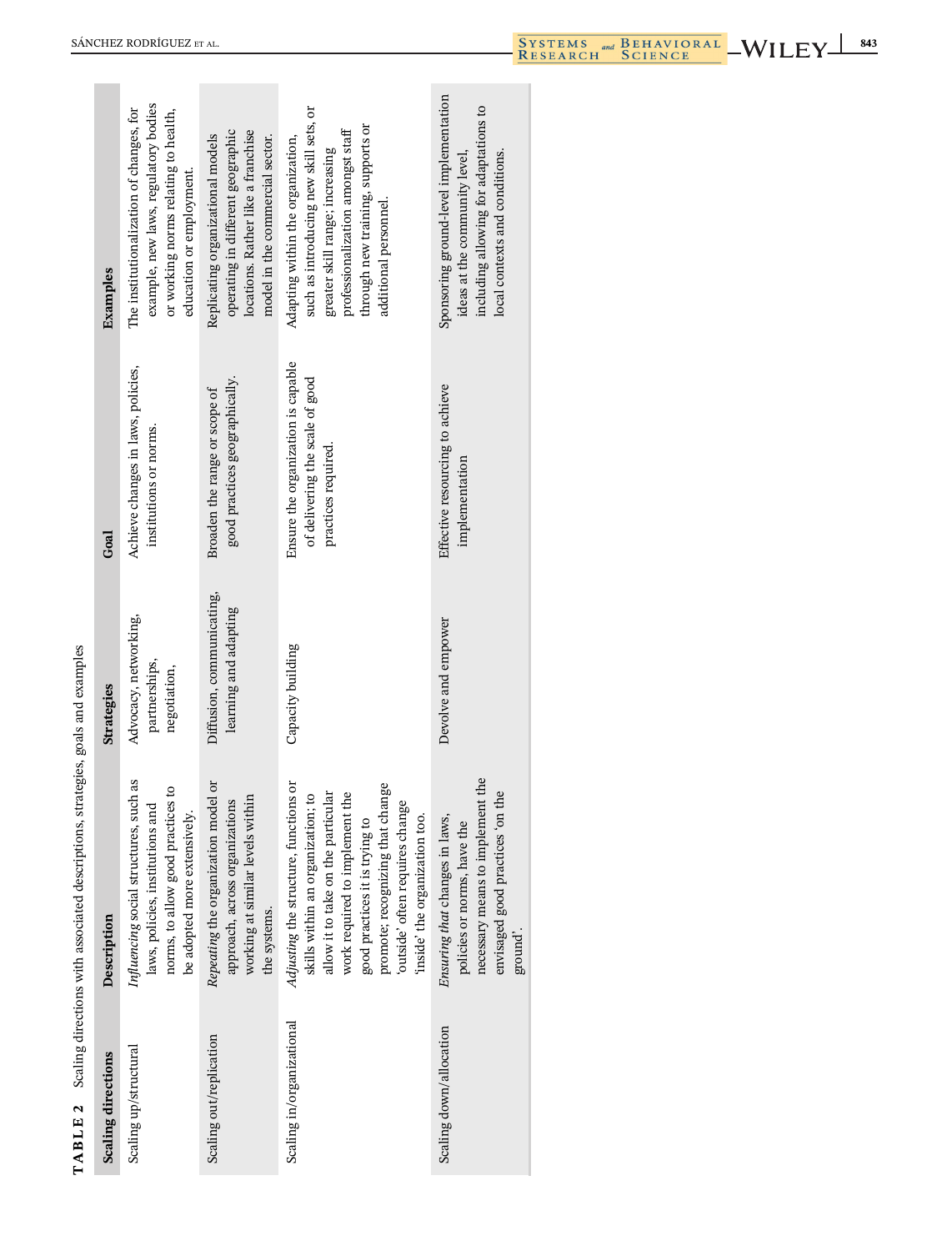|                           | Goal         |
|---------------------------|--------------|
|                           |              |
| n ner<br>"rections with   | nor<br>escri |
| <b>TABLE 2</b> Scaling di |              |

| Examples<br>Goal          | example, new laws, regulatory bodies<br>The institutionalization of changes, for<br>or working norms relating to health,<br>education or employment.<br>Achieve changes in laws, policies,<br>institutions or norms. | operating in different geographic<br>locations. Rather like a franchise<br>Replicating organizational models<br>model in the commercial sector.<br>good practices geographically.<br>Broaden the range or scope of | such as introducing new skill sets, or<br>through new training, supports or<br>professionalization amongst staff<br>Adapting within the organization,<br>greater skill range; increasing<br>additional personnel.<br>Ensure the organization is capable<br>of delivering the scale of good<br>practices required. | Sponsoring ground-level implementation<br>including allowing for adaptations to<br>local contexts and conditions.<br>ideas at the community level,<br>Effective resourcing to achieve<br>implementation |
|---------------------------|----------------------------------------------------------------------------------------------------------------------------------------------------------------------------------------------------------------------|--------------------------------------------------------------------------------------------------------------------------------------------------------------------------------------------------------------------|-------------------------------------------------------------------------------------------------------------------------------------------------------------------------------------------------------------------------------------------------------------------------------------------------------------------|---------------------------------------------------------------------------------------------------------------------------------------------------------------------------------------------------------|
| Strategies                | Advocacy, networking,<br>partnerships,<br>negotiation,                                                                                                                                                               | Diffusion, communicating,<br>learning and adapting                                                                                                                                                                 | Capacity building                                                                                                                                                                                                                                                                                                 | Devolve and empower                                                                                                                                                                                     |
| Description               | 1 as<br>$\mathbf{S}$<br>Influencing social structures, such<br>norms, to allow good practices<br>laws, policies, institutions and<br>be adopted more extensively.                                                    | ð<br>Repeating the organization model<br>approach, across organizations<br>working at similar levels within<br>the systems.                                                                                        | ör.<br>promote; recognizing that change<br>allow it to take on the particular<br>work required to implement the<br>Adjusting the structure, functions<br>skills within an organization; to<br>'outside' often requires change<br>'inside' the organization too.<br>good practices it is trying to                 | necessary means to implement the<br>envisaged good practices 'on the<br>Ensuring that changes in laws,<br>policies or norms, have the<br>ground'.                                                       |
| <b>Scaling directions</b> | Scaling up/structural                                                                                                                                                                                                | Scaling out/replication                                                                                                                                                                                            | Scaling in/organizational                                                                                                                                                                                                                                                                                         | Scaling down/allocation                                                                                                                                                                                 |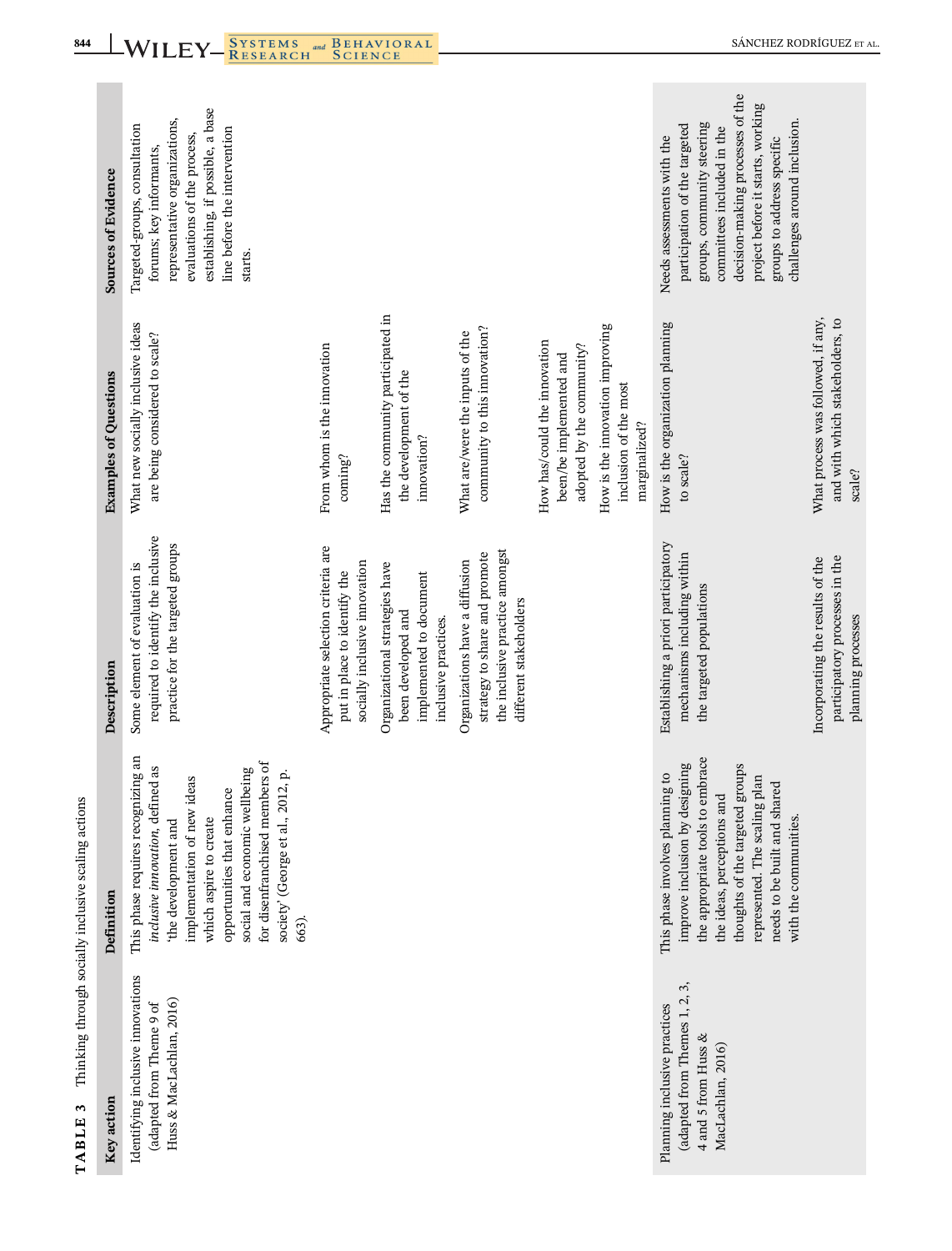| S<br>TABLE                                                                                                         | Thinking through socially inclusive scaling actions                                                                                                                                                                                                                                                   |                                                                                                                             |                                                                                      |                                                                                                                                                                                                                                                                |
|--------------------------------------------------------------------------------------------------------------------|-------------------------------------------------------------------------------------------------------------------------------------------------------------------------------------------------------------------------------------------------------------------------------------------------------|-----------------------------------------------------------------------------------------------------------------------------|--------------------------------------------------------------------------------------|----------------------------------------------------------------------------------------------------------------------------------------------------------------------------------------------------------------------------------------------------------------|
| Key action                                                                                                         | Definition                                                                                                                                                                                                                                                                                            | Description                                                                                                                 | <b>Examples of Questions</b>                                                         | Sources of Evidence                                                                                                                                                                                                                                            |
| Identifying inclusive innovations<br>Huss & MacLachlan, 2016)<br>(adapted from Theme 9 of                          | This phase requires recognizing an<br>for disenfranchised members of<br>inclusive innovation, defined as<br>social and economic wellbeing<br>society' (George et al., 2012, p.<br>implementation of new ideas<br>opportunities that enhance<br>which aspire to create<br>the development and<br>663). | required to identify the inclusive<br>practice for the targeted groups<br>Some element of evaluation is                     | What new socially inclusive ideas<br>are being considered to scale?                  | establishing, if possible, a base<br>representative organizations,<br>Targeted-groups, consultation<br>line before the intervention<br>evaluations of the process,<br>forums; key informants,<br>starts.                                                       |
|                                                                                                                    |                                                                                                                                                                                                                                                                                                       | Appropriate selection criteria are<br>socially inclusive innovation<br>put in place to identify the                         | From whom is the innovation<br>coming?                                               |                                                                                                                                                                                                                                                                |
|                                                                                                                    |                                                                                                                                                                                                                                                                                                       | Organizational strategies have<br>implemented to document<br>been developed and<br>inclusive practices.                     | Has the community participated in<br>the development of the<br>innovation?           |                                                                                                                                                                                                                                                                |
|                                                                                                                    |                                                                                                                                                                                                                                                                                                       | the inclusive practice amongst<br>strategy to share and promote<br>Organizations have a diffusion<br>different stakeholders | community to this innovation?<br>What are/were the inputs of the                     |                                                                                                                                                                                                                                                                |
|                                                                                                                    |                                                                                                                                                                                                                                                                                                       |                                                                                                                             | How has/could the innovation<br>adopted by the community?<br>been/be implemented and |                                                                                                                                                                                                                                                                |
|                                                                                                                    |                                                                                                                                                                                                                                                                                                       |                                                                                                                             | How is the innovation improving<br>inclusion of the most<br>marginalized?            |                                                                                                                                                                                                                                                                |
| $\omega$<br>(adapted from Themes 1, 2,<br>Planning inclusive practices<br>4 and 5 from Huss &<br>MacLachlan, 2016) | brace<br>improve inclusion by designing<br>thoughts of the targeted groups<br>$\mathbf{c}$<br>represented. The scaling plan<br>needs to be built and shared<br>This phase involves planning<br>the appropriate tools to emi<br>the ideas, perceptions and<br>with the communities.                    | Establishing a priori participatory<br>mechanisms including within<br>the targeted populations                              | How is the organization planning<br>to scale?                                        | decision-making processes of the<br>project before it starts, working<br>challenges around inclusion.<br>groups, community steering<br>participation of the targeted<br>committees included in the<br>Needs assessments with the<br>groups to address specific |
|                                                                                                                    |                                                                                                                                                                                                                                                                                                       | participatory processes in the<br>Incorporating the results of the<br>planning processes                                    | What process was followed, if any,<br>and with which stakeholders, to<br>scale?      |                                                                                                                                                                                                                                                                |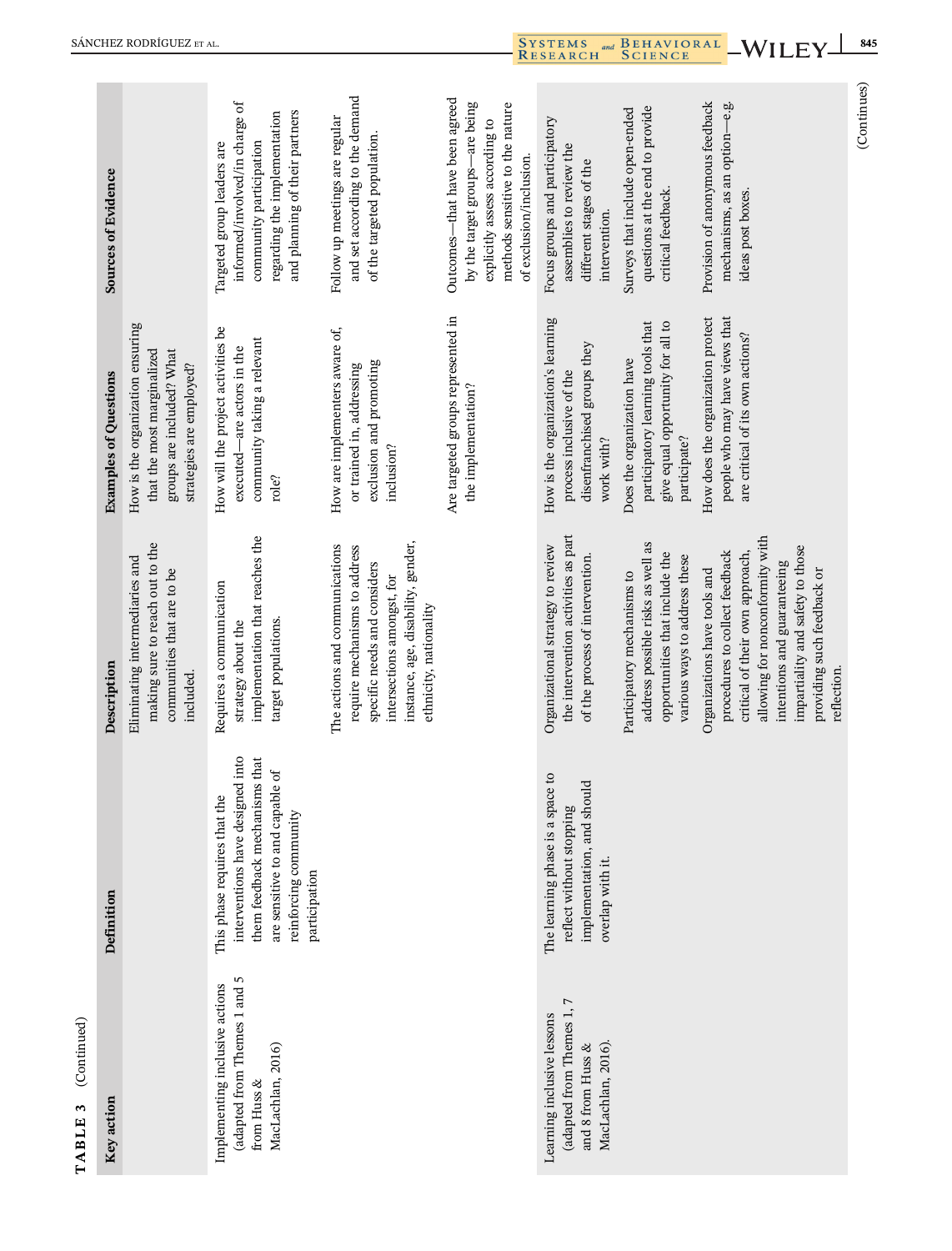| (Continued)<br>$\mathfrak{g}$<br>TABLE                                                                |                                                                                                                                                                                |                                                                                                                                                                                                                                                      |                                                                                                                         |                                                                                                                                                                  |
|-------------------------------------------------------------------------------------------------------|--------------------------------------------------------------------------------------------------------------------------------------------------------------------------------|------------------------------------------------------------------------------------------------------------------------------------------------------------------------------------------------------------------------------------------------------|-------------------------------------------------------------------------------------------------------------------------|------------------------------------------------------------------------------------------------------------------------------------------------------------------|
| Key action                                                                                            | Definition                                                                                                                                                                     | Description                                                                                                                                                                                                                                          | <b>Examples of Questions</b>                                                                                            | Sources of Evidence                                                                                                                                              |
|                                                                                                       |                                                                                                                                                                                | making sure to reach out to the<br>Eliminating intermediaries and<br>communities that are to be<br>included.                                                                                                                                         | How is the organization ensuring<br>that the most marginalized<br>groups are included? What<br>strategies are employed? |                                                                                                                                                                  |
| (adapted from Themes 1 and 5<br>Implementing inclusive actions<br>MacLachlan, 2016)<br>from Huss &    | interventions have designed into<br>them feedback mechanisms that<br>are sensitive to and capable of<br>This phase requires that the<br>reinforcing community<br>participation | implementation that reaches the<br>Requires a communication<br>target populations.<br>strategy about the                                                                                                                                             | How will the project activities be<br>community taking a relevant<br>executed—are actors in the<br>role?                | informed/involved/in charge of<br>and planning of their partners<br>regarding the implementation<br>community participation<br>Targeted group leaders are        |
|                                                                                                       |                                                                                                                                                                                | instance, age, disability, gender,<br>The actions and communications<br>require mechanisms to address<br>specific needs and considers<br>intersections amongst, for<br>ethnicity, nationality                                                        | How are implementers aware of,<br>exclusion and promoting<br>or trained in, addressing<br>inclusion?                    | and set according to the demand<br>Follow up meetings are regular<br>of the targeted population.                                                                 |
|                                                                                                       |                                                                                                                                                                                |                                                                                                                                                                                                                                                      | Are targeted groups represented in<br>the implementation?                                                               | Outcomes-that have been agreed<br>by the target groups-are being<br>methods sensitive to the nature<br>explicitly assess according to<br>of exclusion/inclusion. |
| (adapted from Themes 1, 7<br>Learning inclusive lessons<br>MacLachlan, 2016).<br>and 8 from Huss $\&$ | The learning phase is a space to<br>르<br>implementation, and shoul<br>reflect without stopping<br>overlap with it.                                                             | the intervention activities as part<br>Organizational strategy to review<br>of the process of intervention.                                                                                                                                          | How is the organization's learning<br>disenfranchised groups they<br>process inclusive of the<br>work with?             | Focus groups and participatory<br>assemblies to review the<br>different stages of the<br>intervention.                                                           |
|                                                                                                       |                                                                                                                                                                                | address possible risks as well as<br>opportunities that include the<br>various ways to address these<br>Participatory mechanisms to                                                                                                                  | participatory learning tools that<br>give equal opportunity for all to<br>Does the organization have<br>participate?    | questions at the end to provide<br>Surveys that include open-ended<br>critical feedback.                                                                         |
|                                                                                                       |                                                                                                                                                                                | allowing for nonconformity with<br>impartiality and safety to those<br>procedures to collect feedback<br>critical of their own approach,<br>intentions and guaranteeing<br>Organizations have tools and<br>providing such feedback or<br>reflection. | How does the organization protect<br>people who may have views that<br>are critical of its own actions?                 | Provision of anonymous feedback<br>mechanisms, as an option-e.g.<br>ideas post boxes.                                                                            |
|                                                                                                       |                                                                                                                                                                                |                                                                                                                                                                                                                                                      |                                                                                                                         | (Continues)                                                                                                                                                      |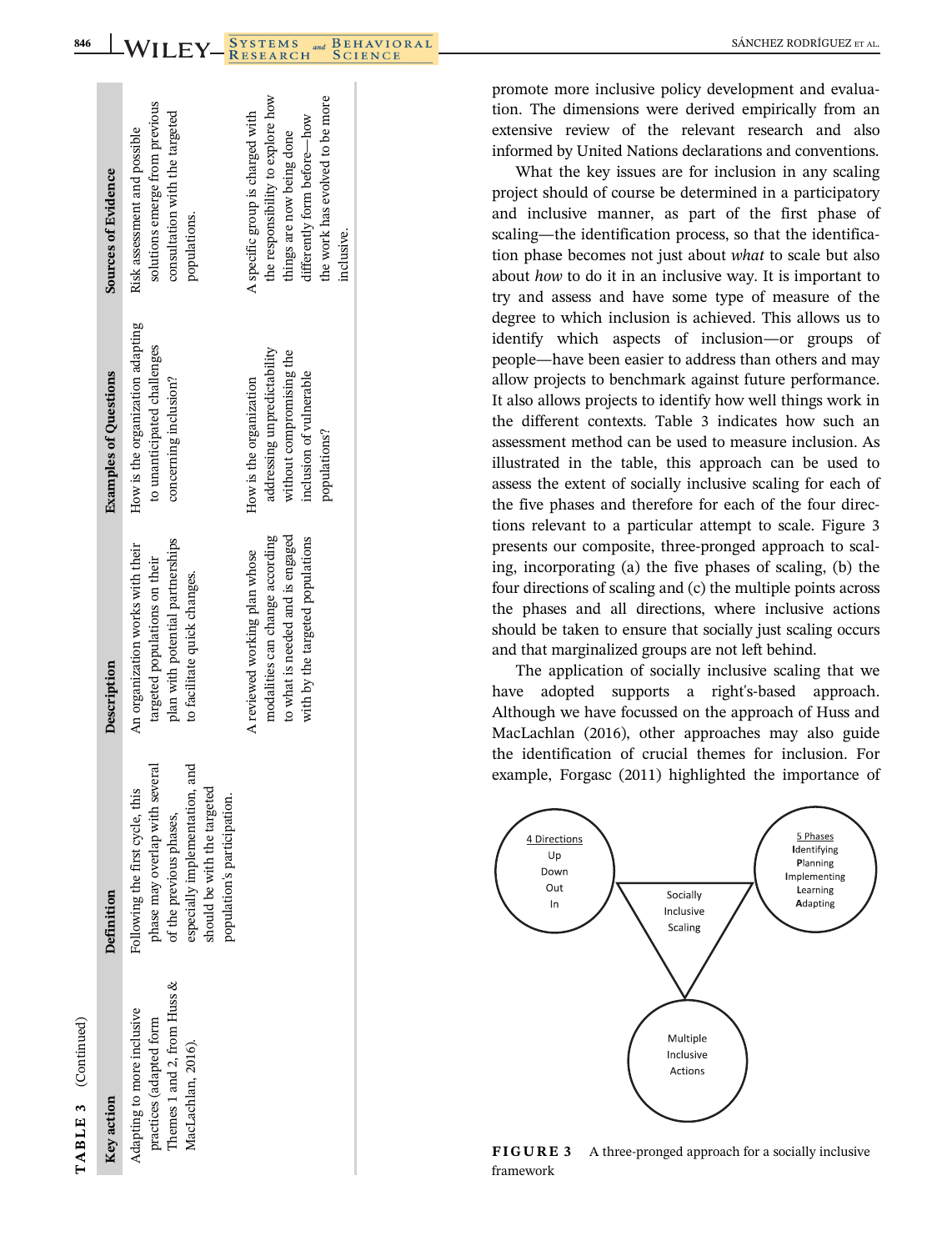#### $\mathbf{\perp WILEY-}\frac{\overline{\text{SystemS}}_{M}}{\text{RESEARCH}}$ **BEHAVIORAL** SCIENCE

846

|                     | Sources of Evidence<br><b>Examples of Questions</b><br>Description<br>Definition | solutions emerge from previous<br>consultation with the targeted<br>Risk assessment and possible<br>populations.<br>How is the organization adapting<br>to unanticipated challenges<br>concerning inclusion?<br>plan with potential partnerships<br>An organization works with their<br>targeted populations on their<br>to facilitate quick changes.<br>and<br>phase may overlap with several<br>Following the first cycle, this<br>especially implementation,<br>should be with the targeted<br>population's participation.<br>of the previous phases, | the responsibility to explore how<br>the work has evolved to be more<br>A specific group is charged with<br>differently form before-how<br>things are now being done<br>inclusive.<br>addressing unpredictability<br>without compromising the<br>inclusion of vulnerable<br>How is the organization<br>populations?<br>to what is needed and is engaged<br>modalities can change according<br>with by the targeted populations<br>A reviewed working plan whose |
|---------------------|----------------------------------------------------------------------------------|----------------------------------------------------------------------------------------------------------------------------------------------------------------------------------------------------------------------------------------------------------------------------------------------------------------------------------------------------------------------------------------------------------------------------------------------------------------------------------------------------------------------------------------------------------|-----------------------------------------------------------------------------------------------------------------------------------------------------------------------------------------------------------------------------------------------------------------------------------------------------------------------------------------------------------------------------------------------------------------------------------------------------------------|
|                     |                                                                                  |                                                                                                                                                                                                                                                                                                                                                                                                                                                                                                                                                          |                                                                                                                                                                                                                                                                                                                                                                                                                                                                 |
| TABLE 3 (Continued) | Key action                                                                       | Themes 1 and 2, from Huss $\&$<br>Adapting to more inclusive<br>practices (adapted form<br>MacLachlan, 2016).                                                                                                                                                                                                                                                                                                                                                                                                                                            |                                                                                                                                                                                                                                                                                                                                                                                                                                                                 |

promote more inclusive policy development and evaluation. The dimensions were derived empirically from an extensive review of the relevant research and also informed by United Nations declarations and conventions.

What the key issues are for inclusion in any scaling project should of course be determined in a participatory and inclusive manner, as part of the first phase of scaling —the identification process, so that the identification phase becomes not just about what to scale but also about how to do it in an inclusive way. It is important to try and assess and have some type of measure of the degree to which inclusion is achieved. This allows us to identify which aspects of inclusion —or groups of people —have been easier to address than others and may allow projects to benchmark against future performance. It also allows projects to identify how well things work in the different contexts. Table 3 indicates how such an assessment method can be used to measure inclusion. As illustrated in the table, this approach can be used to assess the extent of socially inclusive scaling for each of the five phases and therefore for each of the four directions relevant to a particular attempt to scale. Figure 3 presents our composite, three-pronged approach to scaling, incorporating (a) the five phases of scaling, (b) the four directions of scaling and (c) the multiple points across the phases and all directions, where inclusive actions should be taken to ensure that socially just scaling occurs and that marginalized groups are not left behind.

The application of socially inclusive scaling that we have adopted supports a right's-based approach. Although we have focussed on the approach of Huss and MacLachlan (2016), other approaches may also guide the identification of crucial themes for inclusion. For example, Forgasc (2011) highlighted the importance of



FIGURE 3 A three-pronged approach for a socially inclusive framework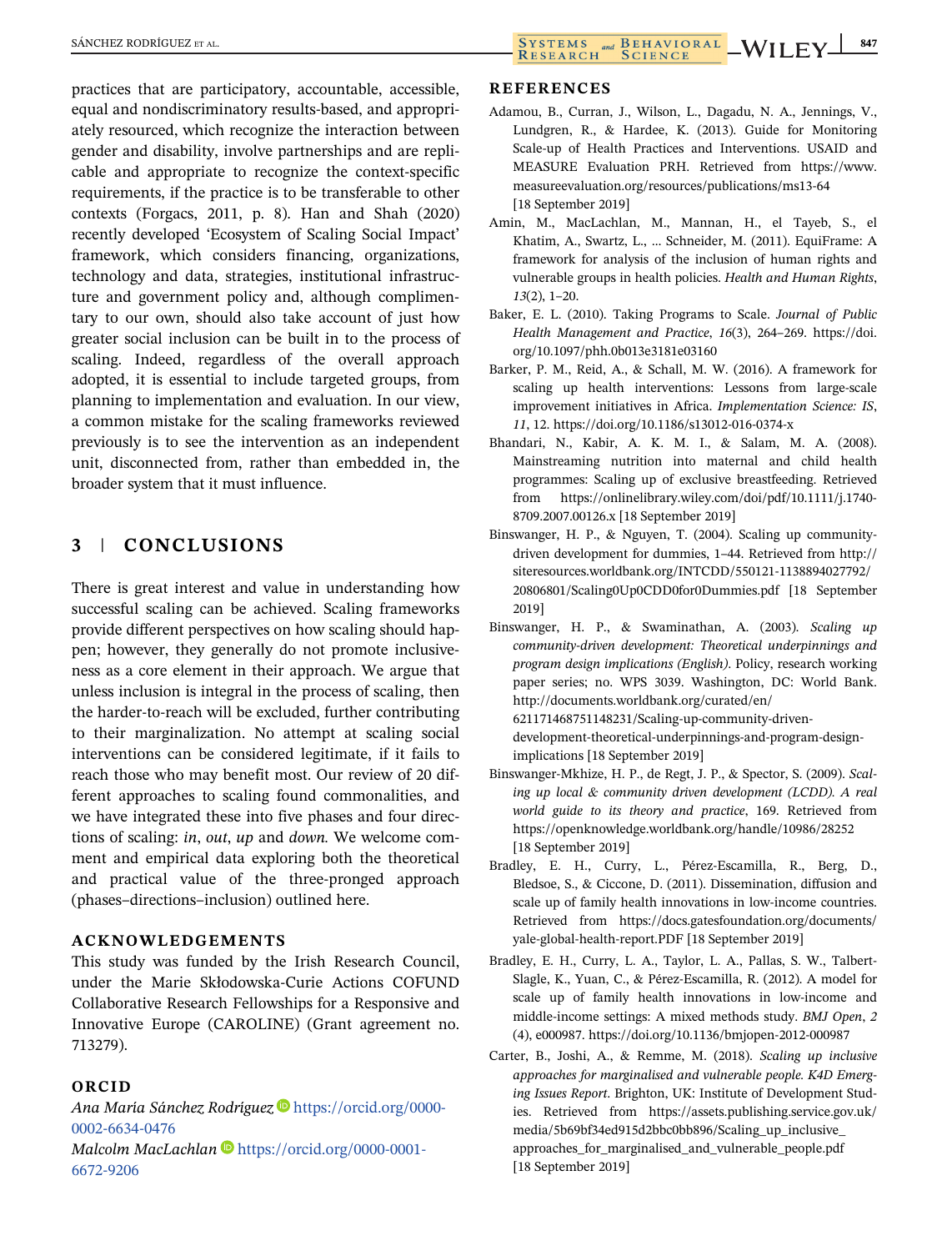practices that are participatory, accountable, accessible, equal and nondiscriminatory results-based, and appropriately resourced, which recognize the interaction between gender and disability, involve partnerships and are replicable and appropriate to recognize the context-specific requirements, if the practice is to be transferable to other contexts (Forgacs, 2011, p. 8). Han and Shah (2020) recently developed 'Ecosystem of Scaling Social Impact' framework, which considers financing, organizations, technology and data, strategies, institutional infrastructure and government policy and, although complimentary to our own, should also take account of just how greater social inclusion can be built in to the process of scaling. Indeed, regardless of the overall approach adopted, it is essential to include targeted groups, from planning to implementation and evaluation. In our view, a common mistake for the scaling frameworks reviewed previously is to see the intervention as an independent unit, disconnected from, rather than embedded in, the broader system that it must influence.

# 3 | CONCLUSIONS

There is great interest and value in understanding how successful scaling can be achieved. Scaling frameworks provide different perspectives on how scaling should happen; however, they generally do not promote inclusiveness as a core element in their approach. We argue that unless inclusion is integral in the process of scaling, then the harder-to-reach will be excluded, further contributing to their marginalization. No attempt at scaling social interventions can be considered legitimate, if it fails to reach those who may benefit most. Our review of 20 different approaches to scaling found commonalities, and we have integrated these into five phases and four directions of scaling: in, out, up and down. We welcome comment and empirical data exploring both the theoretical and practical value of the three-pronged approach (phases–directions–inclusion) outlined here.

#### ACKNOWLEDGEMENTS

This study was funded by the Irish Research Council, under the Marie Skłodowska-Curie Actions COFUND Collaborative Research Fellowships for a Responsive and Innovative Europe (CAROLINE) (Grant agreement no. 713279).

#### ORCID

Ana María Sánchez Rodríguez Dhttps://orcid.org/0000-0002-6634-0476

Malcolm MacLachlan  $\blacksquare$  https://orcid.org/0000-0001-6672-9206

### REFERENCES

- Adamou, B., Curran, J., Wilson, L., Dagadu, N. A., Jennings, V., Lundgren, R., & Hardee, K. (2013). Guide for Monitoring Scale-up of Health Practices and Interventions. USAID and MEASURE Evaluation PRH. Retrieved from https://www. measureevaluation.org/resources/publications/ms13-64 [18 September 2019]
- Amin, M., MacLachlan, M., Mannan, H., el Tayeb, S., el Khatim, A., Swartz, L., … Schneider, M. (2011). EquiFrame: A framework for analysis of the inclusion of human rights and vulnerable groups in health policies. Health and Human Rights, 13(2), 1–20.
- Baker, E. L. (2010). Taking Programs to Scale. Journal of Public Health Management and Practice, 16(3), 264–269. https://doi. org/10.1097/phh.0b013e3181e03160
- Barker, P. M., Reid, A., & Schall, M. W. (2016). A framework for scaling up health interventions: Lessons from large-scale improvement initiatives in Africa. Implementation Science: IS, 11, 12. https://doi.org/10.1186/s13012-016-0374-x
- Bhandari, N., Kabir, A. K. M. I., & Salam, M. A. (2008). Mainstreaming nutrition into maternal and child health programmes: Scaling up of exclusive breastfeeding. Retrieved from https://onlinelibrary.wiley.com/doi/pdf/10.1111/j.1740- 8709.2007.00126.x [18 September 2019]
- Binswanger, H. P., & Nguyen, T. (2004). Scaling up communitydriven development for dummies, 1–44. Retrieved from http:// siteresources.worldbank.org/INTCDD/550121-1138894027792/ 20806801/Scaling0Up0CDD0for0Dummies.pdf [18 September 2019]
- Binswanger, H. P., & Swaminathan, A. (2003). Scaling up community-driven development: Theoretical underpinnings and program design implications (English). Policy, research working paper series; no. WPS 3039. Washington, DC: World Bank. http://documents.worldbank.org/curated/en/ 621171468751148231/Scaling-up-community-drivendevelopment-theoretical-underpinnings-and-program-designimplications [18 September 2019]
- Binswanger-Mkhize, H. P., de Regt, J. P., & Spector, S. (2009). Scaling up local & community driven development (LCDD). A real world guide to its theory and practice, 169. Retrieved from https://openknowledge.worldbank.org/handle/10986/28252 [18 September 2019]
- Bradley, E. H., Curry, L., Pérez-Escamilla, R., Berg, D., Bledsoe, S., & Ciccone, D. (2011). Dissemination, diffusion and scale up of family health innovations in low-income countries. Retrieved from https://docs.gatesfoundation.org/documents/ yale-global-health-report.PDF [18 September 2019]
- Bradley, E. H., Curry, L. A., Taylor, L. A., Pallas, S. W., Talbert-Slagle, K., Yuan, C., & Pérez-Escamilla, R. (2012). A model for scale up of family health innovations in low-income and middle-income settings: A mixed methods study. BMJ Open, 2 (4), e000987. https://doi.org/10.1136/bmjopen-2012-000987
- Carter, B., Joshi, A., & Remme, M. (2018). Scaling up inclusive approaches for marginalised and vulnerable people. K4D Emerging Issues Report. Brighton, UK: Institute of Development Studies. Retrieved from https://assets.publishing.service.gov.uk/ media/5b69bf34ed915d2bbc0bb896/Scaling\_up\_inclusive\_ approaches\_for\_marginalised\_and\_vulnerable\_people.pdf [18 September 2019]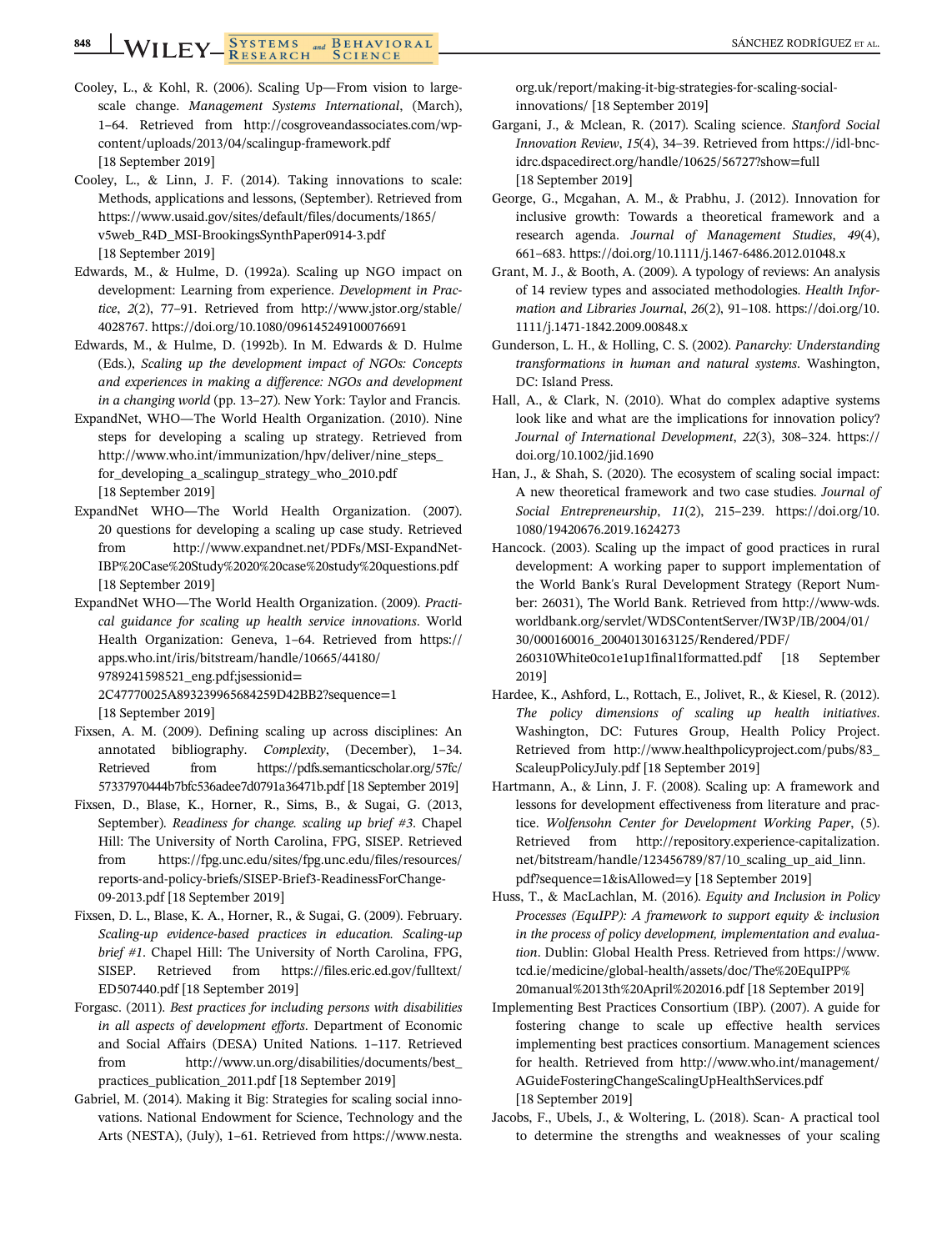# $\mathbf{WILEY}\text{--}\frac{\text{Systems and BeHAVIORAL}}{\text{Research of Science}}$

- Cooley, L., & Kohl, R. (2006). Scaling Up—From vision to largescale change. Management Systems International, (March), 1–64. Retrieved from http://cosgroveandassociates.com/wpcontent/uploads/2013/04/scalingup-framework.pdf [18 September 2019]
- Cooley, L., & Linn, J. F. (2014). Taking innovations to scale: Methods, applications and lessons, (September). Retrieved from https://www.usaid.gov/sites/default/files/documents/1865/ v5web\_R4D\_MSI-BrookingsSynthPaper0914-3.pdf [18 September 2019]
- Edwards, M., & Hulme, D. (1992a). Scaling up NGO impact on development: Learning from experience. Development in Practice, 2(2), 77–91. Retrieved from http://www.jstor.org/stable/ 4028767. https://doi.org/10.1080/096145249100076691
- Edwards, M., & Hulme, D. (1992b). In M. Edwards & D. Hulme (Eds.), Scaling up the development impact of NGOs: Concepts and experiences in making a difference: NGOs and development in a changing world (pp. 13–27). New York: Taylor and Francis.
- ExpandNet, WHO—The World Health Organization. (2010). Nine steps for developing a scaling up strategy. Retrieved from http://www.who.int/immunization/hpv/deliver/nine\_steps\_ for\_developing\_a\_scalingup\_strategy\_who\_2010.pdf [18 September 2019]
- ExpandNet WHO—The World Health Organization. (2007). 20 questions for developing a scaling up case study. Retrieved from http://www.expandnet.net/PDFs/MSI-ExpandNet-IBP%20Case%20Study%2020%20case%20study%20questions.pdf [18 September 2019]
- ExpandNet WHO—The World Health Organization. (2009). Practical guidance for scaling up health service innovations. World Health Organization: Geneva, 1–64. Retrieved from https:// apps.who.int/iris/bitstream/handle/10665/44180/ 9789241598521\_eng.pdf;jsessionid= 2C47770025A893239965684259D42BB2?sequence=1
- [18 September 2019] Fixsen, A. M. (2009). Defining scaling up across disciplines: An annotated bibliography. Complexity, (December), 1–34. Retrieved from https://pdfs.semanticscholar.org/57fc/ 57337970444b7bfc536adee7d0791a36471b.pdf [18 September 2019]
- Fixsen, D., Blase, K., Horner, R., Sims, B., & Sugai, G. (2013, September). Readiness for change. scaling up brief #3. Chapel Hill: The University of North Carolina, FPG, SISEP. Retrieved from https://fpg.unc.edu/sites/fpg.unc.edu/files/resources/ reports-and-policy-briefs/SISEP-Brief3-ReadinessForChange-09-2013.pdf [18 September 2019]
- Fixsen, D. L., Blase, K. A., Horner, R., & Sugai, G. (2009). February. Scaling-up evidence-based practices in education. Scaling-up brief #1. Chapel Hill: The University of North Carolina, FPG, SISEP. Retrieved from https://files.eric.ed.gov/fulltext/ ED507440.pdf [18 September 2019]
- Forgasc. (2011). Best practices for including persons with disabilities in all aspects of development efforts. Department of Economic and Social Affairs (DESA) United Nations. 1–117. Retrieved from http://www.un.org/disabilities/documents/best\_ practices\_publication\_2011.pdf [18 September 2019]
- Gabriel, M. (2014). Making it Big: Strategies for scaling social innovations. National Endowment for Science, Technology and the Arts (NESTA), (July), 1–61. Retrieved from https://www.nesta.

org.uk/report/making-it-big-strategies-for-scaling-socialinnovations/ [18 September 2019]

- Gargani, J., & Mclean, R. (2017). Scaling science. Stanford Social Innovation Review, 15(4), 34–39. Retrieved from https://idl-bncidrc.dspacedirect.org/handle/10625/56727?show=full [18 September 2019]
- George, G., Mcgahan, A. M., & Prabhu, J. (2012). Innovation for inclusive growth: Towards a theoretical framework and a research agenda. Journal of Management Studies, 49(4), 661–683. https://doi.org/10.1111/j.1467-6486.2012.01048.x
- Grant, M. J., & Booth, A. (2009). A typology of reviews: An analysis of 14 review types and associated methodologies. Health Information and Libraries Journal, 26(2), 91–108. https://doi.org/10. 1111/j.1471-1842.2009.00848.x
- Gunderson, L. H., & Holling, C. S. (2002). Panarchy: Understanding transformations in human and natural systems. Washington, DC: Island Press.
- Hall, A., & Clark, N. (2010). What do complex adaptive systems look like and what are the implications for innovation policy? Journal of International Development, 22(3), 308–324. https:// doi.org/10.1002/jid.1690
- Han, J., & Shah, S. (2020). The ecosystem of scaling social impact: A new theoretical framework and two case studies. Journal of Social Entrepreneurship, 11(2), 215–239. https://doi.org/10. 1080/19420676.2019.1624273
- Hancock. (2003). Scaling up the impact of good practices in rural development: A working paper to support implementation of the World Bank's Rural Development Strategy (Report Number: 26031), The World Bank. Retrieved from http://www-wds. worldbank.org/servlet/WDSContentServer/IW3P/IB/2004/01/ 30/000160016\_20040130163125/Rendered/PDF/

260310White0co1e1up1final1formatted.pdf [18 September 2019]

- Hardee, K., Ashford, L., Rottach, E., Jolivet, R., & Kiesel, R. (2012). The policy dimensions of scaling up health initiatives. Washington, DC: Futures Group, Health Policy Project. Retrieved from http://www.healthpolicyproject.com/pubs/83\_ ScaleupPolicyJuly.pdf [18 September 2019]
- Hartmann, A., & Linn, J. F. (2008). Scaling up: A framework and lessons for development effectiveness from literature and practice. Wolfensohn Center for Development Working Paper, (5). Retrieved from http://repository.experience-capitalization. net/bitstream/handle/123456789/87/10\_scaling\_up\_aid\_linn. pdf?sequence=1&isAllowed=y [18 September 2019]
- Huss, T., & MacLachlan, M. (2016). Equity and Inclusion in Policy Processes (EquIPP): A framework to support equity & inclusion in the process of policy development, implementation and evaluation. Dublin: Global Health Press. Retrieved from https://www. tcd.ie/medicine/global-health/assets/doc/The%20EquIPP% 20manual%2013th%20April%202016.pdf [18 September 2019]
- Implementing Best Practices Consortium (IBP). (2007). A guide for fostering change to scale up effective health services implementing best practices consortium. Management sciences for health. Retrieved from http://www.who.int/management/ AGuideFosteringChangeScalingUpHealthServices.pdf [18 September 2019]
- Jacobs, F., Ubels, J., & Woltering, L. (2018). Scan- A practical tool to determine the strengths and weaknesses of your scaling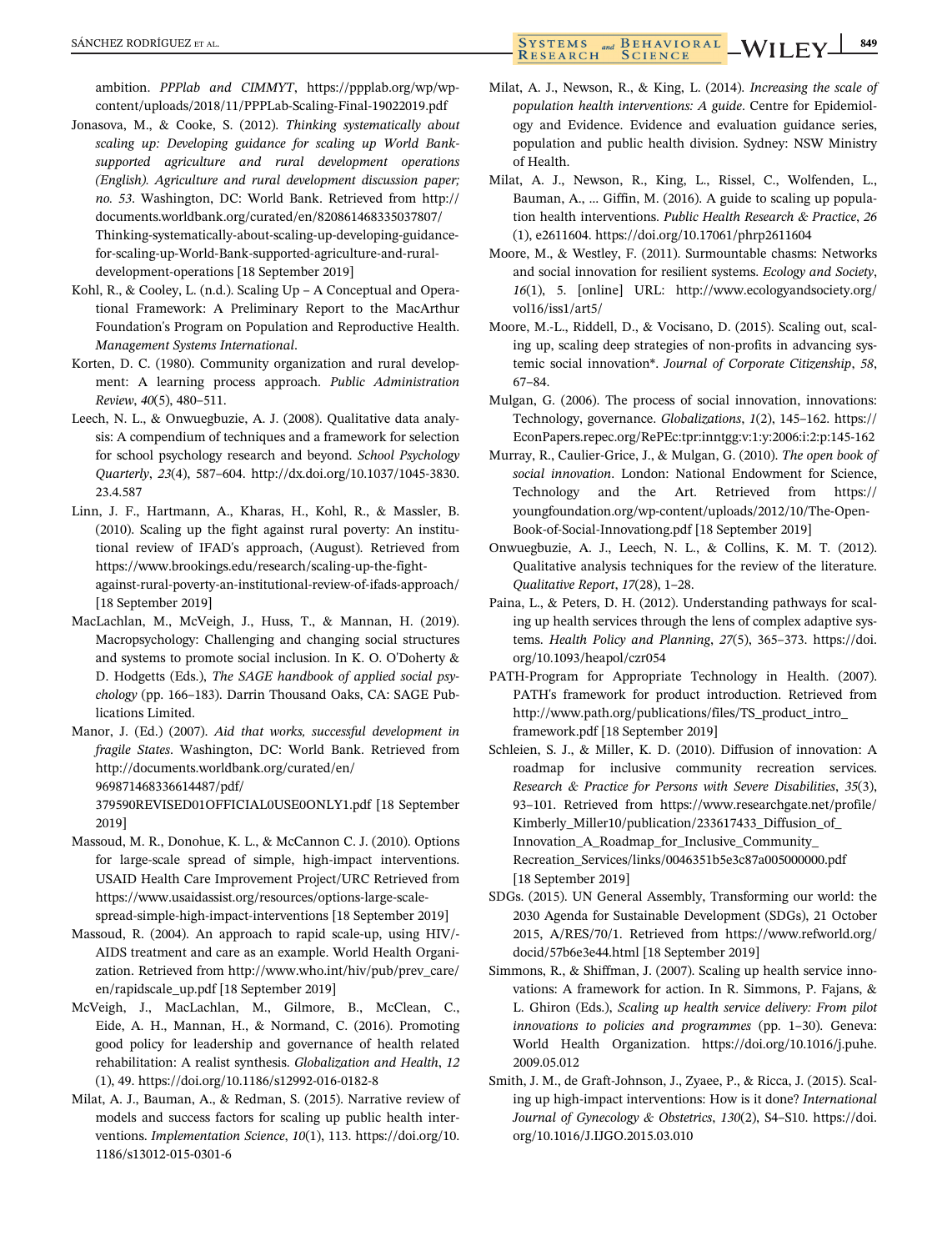ambition. PPPlab and CIMMYT, https://ppplab.org/wp/wpcontent/uploads/2018/11/PPPLab-Scaling-Final-19022019.pdf

- Jonasova, M., & Cooke, S. (2012). Thinking systematically about scaling up: Developing guidance for scaling up World Banksupported agriculture and rural development operations (English). Agriculture and rural development discussion paper; no. 53. Washington, DC: World Bank. Retrieved from http:// documents.worldbank.org/curated/en/820861468335037807/ Thinking-systematically-about-scaling-up-developing-guidancefor-scaling-up-World-Bank-supported-agriculture-and-ruraldevelopment-operations [18 September 2019]
- Kohl, R., & Cooley, L. (n.d.). Scaling Up A Conceptual and Operational Framework: A Preliminary Report to the MacArthur Foundation's Program on Population and Reproductive Health. Management Systems International.
- Korten, D. C. (1980). Community organization and rural development: A learning process approach. Public Administration Review, 40(5), 480–511.
- Leech, N. L., & Onwuegbuzie, A. J. (2008). Qualitative data analysis: A compendium of techniques and a framework for selection for school psychology research and beyond. School Psychology Quarterly, 23(4), 587–604. http://dx.doi.org/10.1037/1045-3830. 23.4.587
- Linn, J. F., Hartmann, A., Kharas, H., Kohl, R., & Massler, B. (2010). Scaling up the fight against rural poverty: An institutional review of IFAD's approach, (August). Retrieved from https://www.brookings.edu/research/scaling-up-the-fightagainst-rural-poverty-an-institutional-review-of-ifads-approach/ [18 September 2019]
- MacLachlan, M., McVeigh, J., Huss, T., & Mannan, H. (2019). Macropsychology: Challenging and changing social structures and systems to promote social inclusion. In K. O. O'Doherty & D. Hodgetts (Eds.), The SAGE handbook of applied social psychology (pp. 166–183). Darrin Thousand Oaks, CA: SAGE Publications Limited.
- Manor, J. (Ed.) (2007). Aid that works, successful development in fragile States. Washington, DC: World Bank. Retrieved from http://documents.worldbank.org/curated/en/ 969871468336614487/pdf/ 379590REVISED01OFFICIAL0USE0ONLY1.pdf [18 September

2019]

- Massoud, M. R., Donohue, K. L., & McCannon C. J. (2010). Options for large-scale spread of simple, high-impact interventions. USAID Health Care Improvement Project/URC Retrieved from https://www.usaidassist.org/resources/options-large-scalespread-simple-high-impact-interventions [18 September 2019]
- Massoud, R. (2004). An approach to rapid scale-up, using HIV/- AIDS treatment and care as an example. World Health Organization. Retrieved from http://www.who.int/hiv/pub/prev\_care/ en/rapidscale\_up.pdf [18 September 2019]
- McVeigh, J., MacLachlan, M., Gilmore, B., McClean, C., Eide, A. H., Mannan, H., & Normand, C. (2016). Promoting good policy for leadership and governance of health related rehabilitation: A realist synthesis. Globalization and Health, 12 (1), 49. https://doi.org/10.1186/s12992-016-0182-8
- Milat, A. J., Bauman, A., & Redman, S. (2015). Narrative review of models and success factors for scaling up public health interventions. Implementation Science, 10(1), 113. https://doi.org/10. 1186/s13012-015-0301-6
- Milat, A. J., Newson, R., & King, L. (2014). Increasing the scale of population health interventions: A guide. Centre for Epidemiology and Evidence. Evidence and evaluation guidance series, population and public health division. Sydney: NSW Ministry of Health.
- Milat, A. J., Newson, R., King, L., Rissel, C., Wolfenden, L., Bauman, A., … Giffin, M. (2016). A guide to scaling up population health interventions. Public Health Research & Practice, 26 (1), e2611604. https://doi.org/10.17061/phrp2611604
- Moore, M., & Westley, F. (2011). Surmountable chasms: Networks and social innovation for resilient systems. Ecology and Society, 16(1), 5. [online] URL: http://www.ecologyandsociety.org/ vol16/iss1/art5/
- Moore, M.-L., Riddell, D., & Vocisano, D. (2015). Scaling out, scaling up, scaling deep strategies of non-profits in advancing systemic social innovation\*. Journal of Corporate Citizenship, 58, 67–84.
- Mulgan, G. (2006). The process of social innovation, innovations: Technology, governance. Globalizations, 1(2), 145–162. https:// EconPapers.repec.org/RePEc:tpr:inntgg:v:1:y:2006:i:2:p:145-162
- Murray, R., Caulier-Grice, J., & Mulgan, G. (2010). The open book of social innovation. London: National Endowment for Science, Technology and the Art. Retrieved from https:// youngfoundation.org/wp-content/uploads/2012/10/The-Open-Book-of-Social-Innovationg.pdf [18 September 2019]
- Onwuegbuzie, A. J., Leech, N. L., & Collins, K. M. T. (2012). Qualitative analysis techniques for the review of the literature. Qualitative Report, 17(28), 1–28.
- Paina, L., & Peters, D. H. (2012). Understanding pathways for scaling up health services through the lens of complex adaptive systems. Health Policy and Planning, 27(5), 365–373. https://doi. org/10.1093/heapol/czr054
- PATH-Program for Appropriate Technology in Health. (2007). PATH's framework for product introduction. Retrieved from http://www.path.org/publications/files/TS\_product\_intro\_ framework.pdf [18 September 2019]
- Schleien, S. J., & Miller, K. D. (2010). Diffusion of innovation: A roadmap for inclusive community recreation services. Research & Practice for Persons with Severe Disabilities, 35(3), 93–101. Retrieved from https://www.researchgate.net/profile/ Kimberly\_Miller10/publication/233617433\_Diffusion\_of\_ Innovation\_A\_Roadmap\_for\_Inclusive\_Community\_ Recreation\_Services/links/0046351b5e3c87a005000000.pdf [18 September 2019]
- SDGs. (2015). UN General Assembly, Transforming our world: the 2030 Agenda for Sustainable Development (SDGs), 21 October 2015, A/RES/70/1. Retrieved from https://www.refworld.org/ docid/57b6e3e44.html [18 September 2019]
- Simmons, R., & Shiffman, J. (2007). Scaling up health service innovations: A framework for action. In R. Simmons, P. Fajans, & L. Ghiron (Eds.), Scaling up health service delivery: From pilot innovations to policies and programmes (pp. 1–30). Geneva: World Health Organization. https://doi.org/10.1016/j.puhe. 2009.05.012
- Smith, J. M., de Graft-Johnson, J., Zyaee, P., & Ricca, J. (2015). Scaling up high-impact interventions: How is it done? International Journal of Gynecology & Obstetrics, 130(2), S4–S10. https://doi. org/10.1016/J.IJGO.2015.03.010